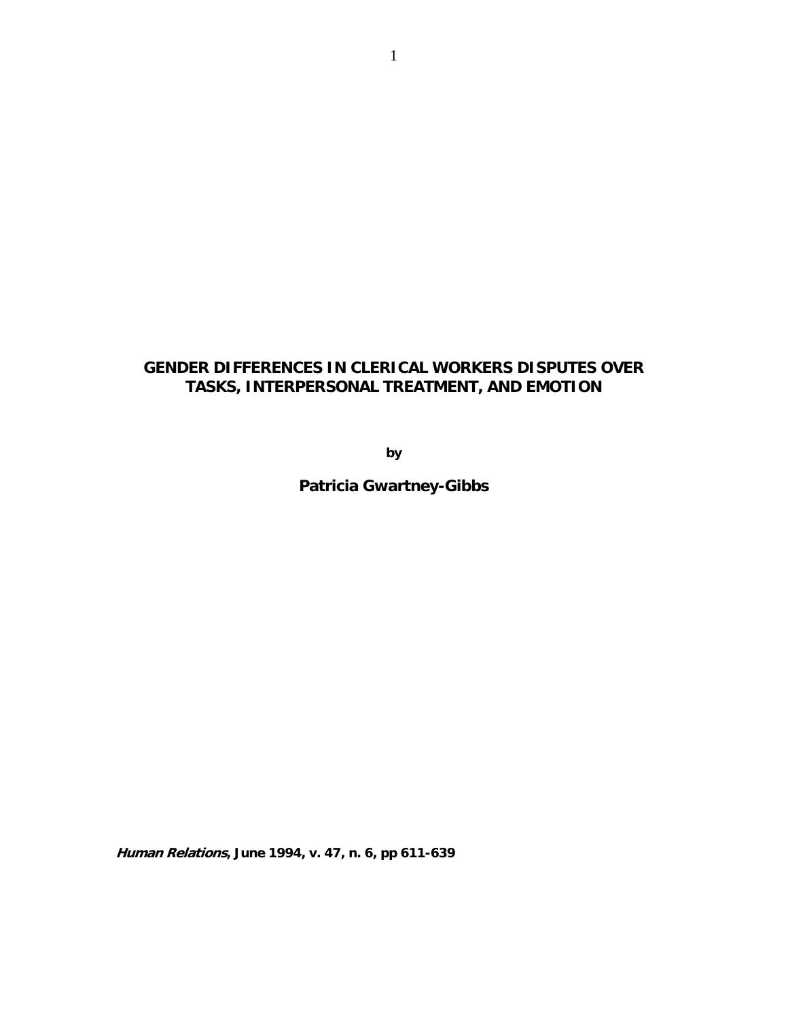# **GENDER DIFFERENCES IN CLERICAL WORKERS DISPUTES OVER TASKS, INTERPERSONAL TREATMENT, AND EMOTION**

**by** 

**Patricia Gwartney-Gibbs** 

**Human Relations, June 1994, v. 47, n. 6, pp 611-639**

1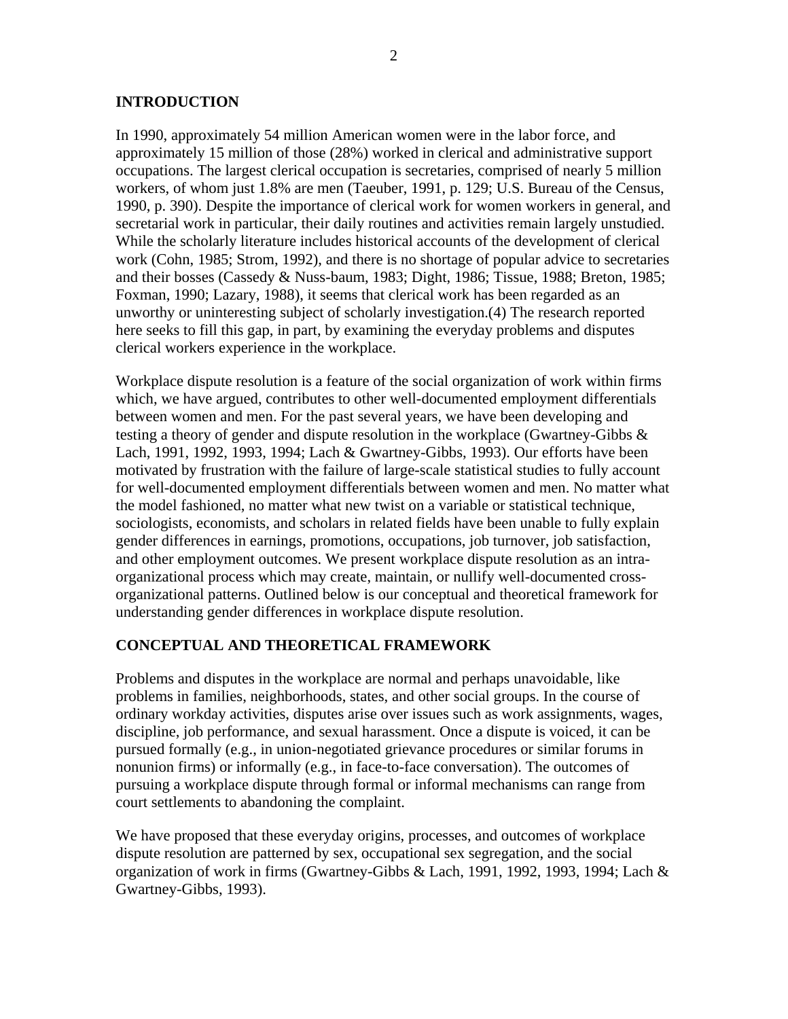### **INTRODUCTION**

In 1990, approximately 54 million American women were in the labor force, and approximately 15 million of those (28%) worked in clerical and administrative support occupations. The largest clerical occupation is secretaries, comprised of nearly 5 million workers, of whom just 1.8% are men (Taeuber, 1991, p. 129; U.S. Bureau of the Census, 1990, p. 390). Despite the importance of clerical work for women workers in general, and secretarial work in particular, their daily routines and activities remain largely unstudied. While the scholarly literature includes historical accounts of the development of clerical work (Cohn, 1985; Strom, 1992), and there is no shortage of popular advice to secretaries and their bosses (Cassedy & Nuss-baum, 1983; Dight, 1986; Tissue, 1988; Breton, 1985; Foxman, 1990; Lazary, 1988), it seems that clerical work has been regarded as an unworthy or uninteresting subject of scholarly investigation.(4) The research reported here seeks to fill this gap, in part, by examining the everyday problems and disputes clerical workers experience in the workplace.

Workplace dispute resolution is a feature of the social organization of work within firms which, we have argued, contributes to other well-documented employment differentials between women and men. For the past several years, we have been developing and testing a theory of gender and dispute resolution in the workplace (Gwartney-Gibbs & Lach, 1991, 1992, 1993, 1994; Lach & Gwartney-Gibbs, 1993). Our efforts have been motivated by frustration with the failure of large-scale statistical studies to fully account for well-documented employment differentials between women and men. No matter what the model fashioned, no matter what new twist on a variable or statistical technique, sociologists, economists, and scholars in related fields have been unable to fully explain gender differences in earnings, promotions, occupations, job turnover, job satisfaction, and other employment outcomes. We present workplace dispute resolution as an intraorganizational process which may create, maintain, or nullify well-documented crossorganizational patterns. Outlined below is our conceptual and theoretical framework for understanding gender differences in workplace dispute resolution.

### **CONCEPTUAL AND THEORETICAL FRAMEWORK**

Problems and disputes in the workplace are normal and perhaps unavoidable, like problems in families, neighborhoods, states, and other social groups. In the course of ordinary workday activities, disputes arise over issues such as work assignments, wages, discipline, job performance, and sexual harassment. Once a dispute is voiced, it can be pursued formally (e.g., in union-negotiated grievance procedures or similar forums in nonunion firms) or informally (e.g., in face-to-face conversation). The outcomes of pursuing a workplace dispute through formal or informal mechanisms can range from court settlements to abandoning the complaint.

We have proposed that these everyday origins, processes, and outcomes of workplace dispute resolution are patterned by sex, occupational sex segregation, and the social organization of work in firms (Gwartney-Gibbs & Lach, 1991, 1992, 1993, 1994; Lach & Gwartney-Gibbs, 1993).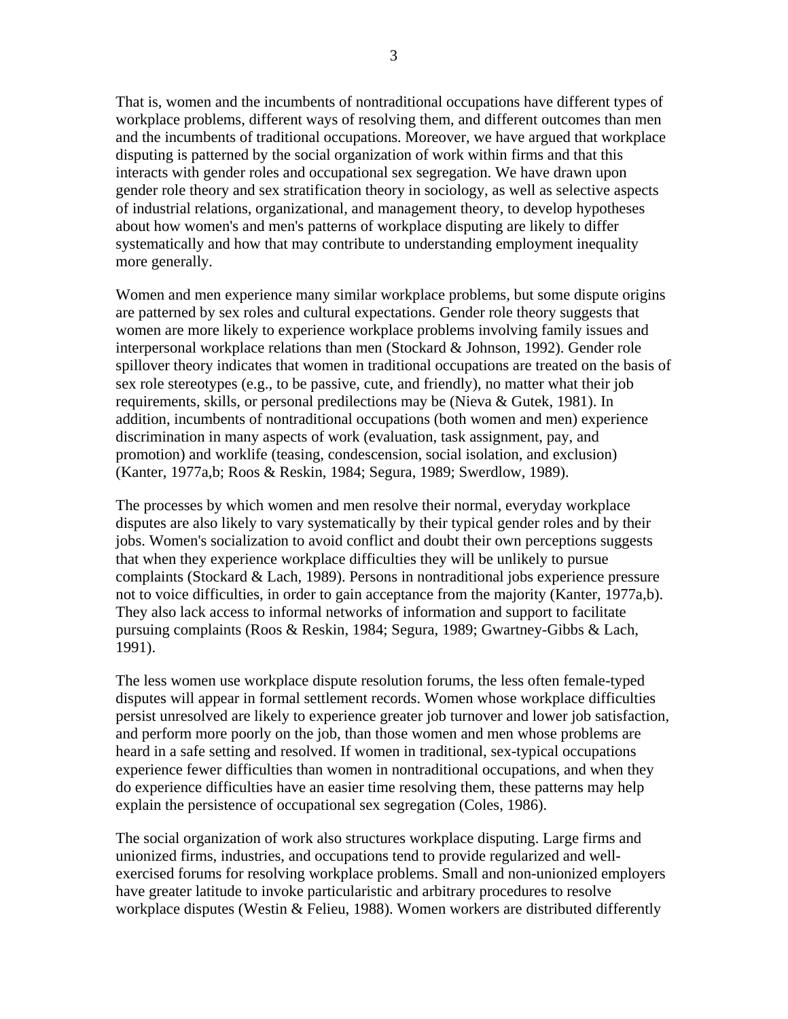That is, women and the incumbents of nontraditional occupations have different types of workplace problems, different ways of resolving them, and different outcomes than men and the incumbents of traditional occupations. Moreover, we have argued that workplace disputing is patterned by the social organization of work within firms and that this interacts with gender roles and occupational sex segregation. We have drawn upon gender role theory and sex stratification theory in sociology, as well as selective aspects of industrial relations, organizational, and management theory, to develop hypotheses about how women's and men's patterns of workplace disputing are likely to differ systematically and how that may contribute to understanding employment inequality more generally.

Women and men experience many similar workplace problems, but some dispute origins are patterned by sex roles and cultural expectations. Gender role theory suggests that women are more likely to experience workplace problems involving family issues and interpersonal workplace relations than men (Stockard & Johnson, 1992). Gender role spillover theory indicates that women in traditional occupations are treated on the basis of sex role stereotypes (e.g., to be passive, cute, and friendly), no matter what their job requirements, skills, or personal predilections may be (Nieva & Gutek, 1981). In addition, incumbents of nontraditional occupations (both women and men) experience discrimination in many aspects of work (evaluation, task assignment, pay, and promotion) and worklife (teasing, condescension, social isolation, and exclusion) (Kanter, 1977a,b; Roos & Reskin, 1984; Segura, 1989; Swerdlow, 1989).

The processes by which women and men resolve their normal, everyday workplace disputes are also likely to vary systematically by their typical gender roles and by their jobs. Women's socialization to avoid conflict and doubt their own perceptions suggests that when they experience workplace difficulties they will be unlikely to pursue complaints (Stockard & Lach, 1989). Persons in nontraditional jobs experience pressure not to voice difficulties, in order to gain acceptance from the majority (Kanter, 1977a,b). They also lack access to informal networks of information and support to facilitate pursuing complaints (Roos & Reskin, 1984; Segura, 1989; Gwartney-Gibbs & Lach, 1991).

The less women use workplace dispute resolution forums, the less often female-typed disputes will appear in formal settlement records. Women whose workplace difficulties persist unresolved are likely to experience greater job turnover and lower job satisfaction, and perform more poorly on the job, than those women and men whose problems are heard in a safe setting and resolved. If women in traditional, sex-typical occupations experience fewer difficulties than women in nontraditional occupations, and when they do experience difficulties have an easier time resolving them, these patterns may help explain the persistence of occupational sex segregation (Coles, 1986).

The social organization of work also structures workplace disputing. Large firms and unionized firms, industries, and occupations tend to provide regularized and wellexercised forums for resolving workplace problems. Small and non-unionized employers have greater latitude to invoke particularistic and arbitrary procedures to resolve workplace disputes (Westin & Felieu, 1988). Women workers are distributed differently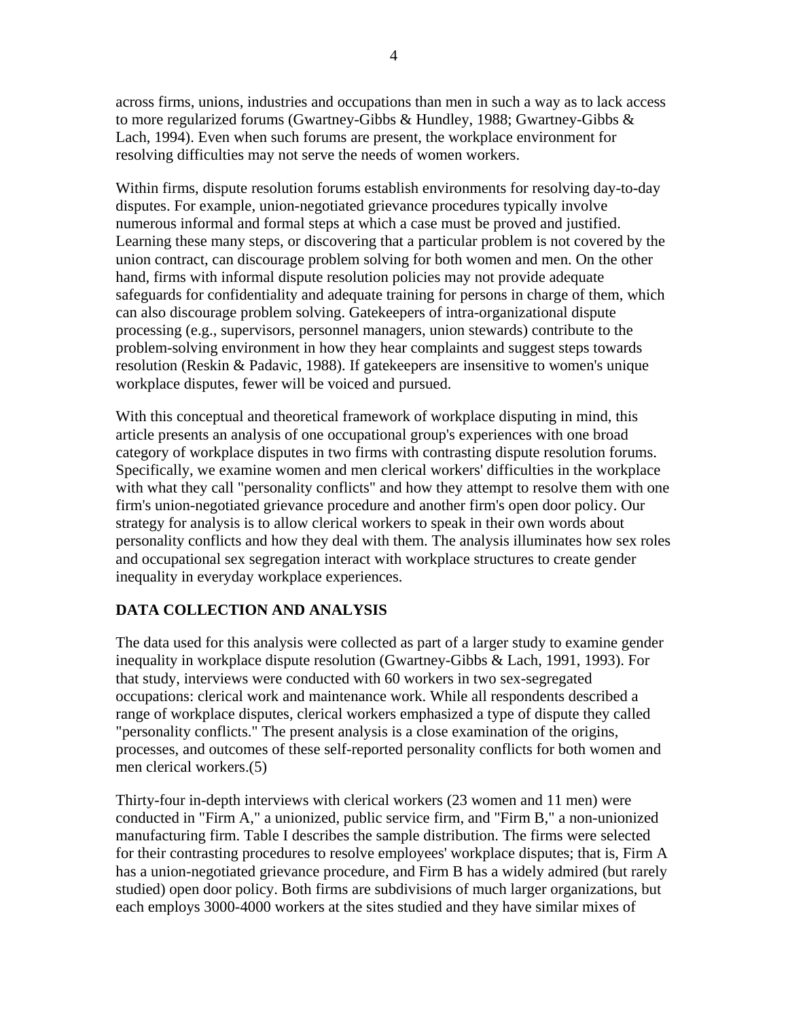across firms, unions, industries and occupations than men in such a way as to lack access to more regularized forums (Gwartney-Gibbs & Hundley, 1988; Gwartney-Gibbs & Lach, 1994). Even when such forums are present, the workplace environment for resolving difficulties may not serve the needs of women workers.

Within firms, dispute resolution forums establish environments for resolving day-to-day disputes. For example, union-negotiated grievance procedures typically involve numerous informal and formal steps at which a case must be proved and justified. Learning these many steps, or discovering that a particular problem is not covered by the union contract, can discourage problem solving for both women and men. On the other hand, firms with informal dispute resolution policies may not provide adequate safeguards for confidentiality and adequate training for persons in charge of them, which can also discourage problem solving. Gatekeepers of intra-organizational dispute processing (e.g., supervisors, personnel managers, union stewards) contribute to the problem-solving environment in how they hear complaints and suggest steps towards resolution (Reskin & Padavic, 1988). If gatekeepers are insensitive to women's unique workplace disputes, fewer will be voiced and pursued.

With this conceptual and theoretical framework of workplace disputing in mind, this article presents an analysis of one occupational group's experiences with one broad category of workplace disputes in two firms with contrasting dispute resolution forums. Specifically, we examine women and men clerical workers' difficulties in the workplace with what they call "personality conflicts" and how they attempt to resolve them with one firm's union-negotiated grievance procedure and another firm's open door policy. Our strategy for analysis is to allow clerical workers to speak in their own words about personality conflicts and how they deal with them. The analysis illuminates how sex roles and occupational sex segregation interact with workplace structures to create gender inequality in everyday workplace experiences.

# **DATA COLLECTION AND ANALYSIS**

The data used for this analysis were collected as part of a larger study to examine gender inequality in workplace dispute resolution (Gwartney-Gibbs & Lach, 1991, 1993). For that study, interviews were conducted with 60 workers in two sex-segregated occupations: clerical work and maintenance work. While all respondents described a range of workplace disputes, clerical workers emphasized a type of dispute they called "personality conflicts." The present analysis is a close examination of the origins, processes, and outcomes of these self-reported personality conflicts for both women and men clerical workers.(5)

Thirty-four in-depth interviews with clerical workers (23 women and 11 men) were conducted in "Firm A," a unionized, public service firm, and "Firm B," a non-unionized manufacturing firm. Table I describes the sample distribution. The firms were selected for their contrasting procedures to resolve employees' workplace disputes; that is, Firm A has a union-negotiated grievance procedure, and Firm B has a widely admired (but rarely studied) open door policy. Both firms are subdivisions of much larger organizations, but each employs 3000-4000 workers at the sites studied and they have similar mixes of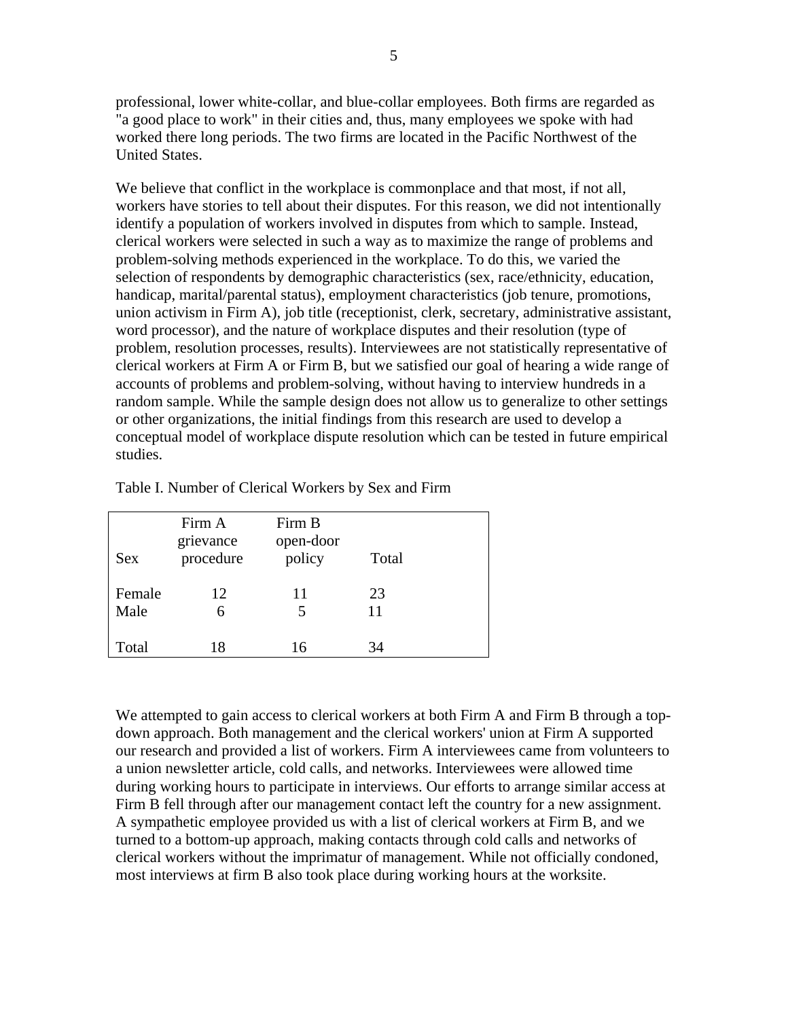professional, lower white-collar, and blue-collar employees. Both firms are regarded as "a good place to work" in their cities and, thus, many employees we spoke with had worked there long periods. The two firms are located in the Pacific Northwest of the United States.

We believe that conflict in the workplace is commonplace and that most, if not all, workers have stories to tell about their disputes. For this reason, we did not intentionally identify a population of workers involved in disputes from which to sample. Instead, clerical workers were selected in such a way as to maximize the range of problems and problem-solving methods experienced in the workplace. To do this, we varied the selection of respondents by demographic characteristics (sex, race/ethnicity, education, handicap, marital/parental status), employment characteristics (job tenure, promotions, union activism in Firm A), job title (receptionist, clerk, secretary, administrative assistant, word processor), and the nature of workplace disputes and their resolution (type of problem, resolution processes, results). Interviewees are not statistically representative of clerical workers at Firm A or Firm B, but we satisfied our goal of hearing a wide range of accounts of problems and problem-solving, without having to interview hundreds in a random sample. While the sample design does not allow us to generalize to other settings or other organizations, the initial findings from this research are used to develop a conceptual model of workplace dispute resolution which can be tested in future empirical studies.

| <b>Sex</b>     | Firm A<br>grievance<br>procedure | Firm B<br>open-door<br>policy | Total    |  |
|----------------|----------------------------------|-------------------------------|----------|--|
| Female<br>Male | 12<br>6                          | 11<br>5                       | 23<br>11 |  |
| Total          | 18                               | 16                            | 34       |  |

Table I. Number of Clerical Workers by Sex and Firm

We attempted to gain access to clerical workers at both Firm A and Firm B through a topdown approach. Both management and the clerical workers' union at Firm A supported our research and provided a list of workers. Firm A interviewees came from volunteers to a union newsletter article, cold calls, and networks. Interviewees were allowed time during working hours to participate in interviews. Our efforts to arrange similar access at Firm B fell through after our management contact left the country for a new assignment. A sympathetic employee provided us with a list of clerical workers at Firm B, and we turned to a bottom-up approach, making contacts through cold calls and networks of clerical workers without the imprimatur of management. While not officially condoned, most interviews at firm B also took place during working hours at the worksite.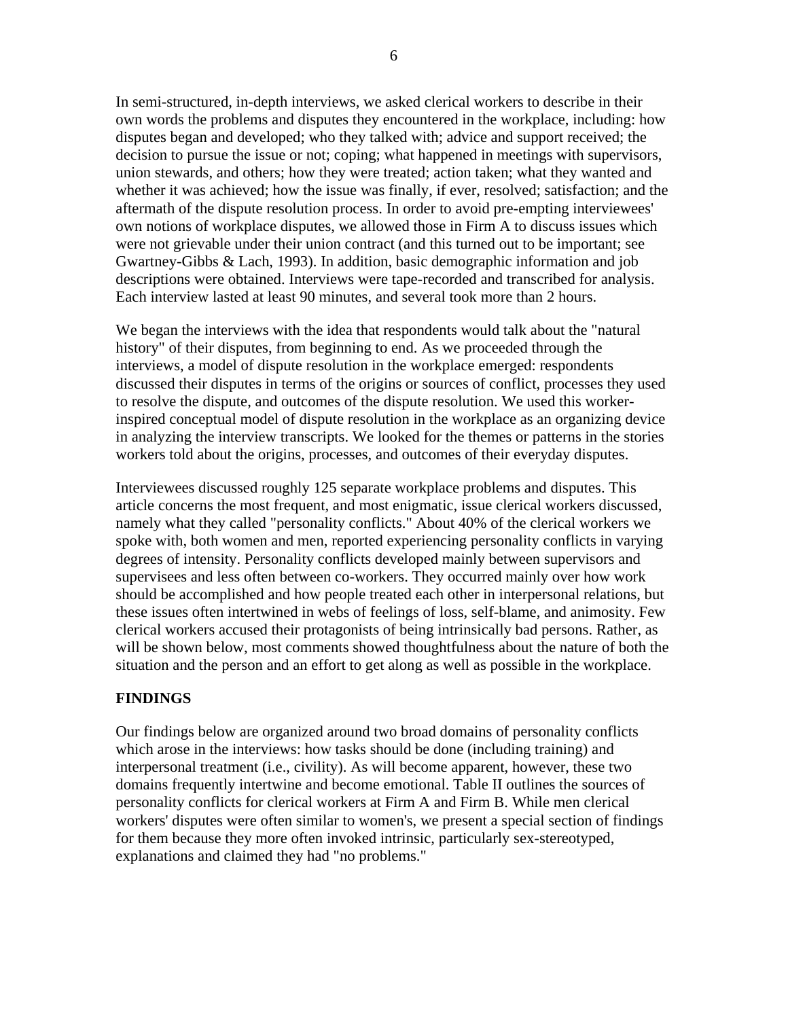In semi-structured, in-depth interviews, we asked clerical workers to describe in their own words the problems and disputes they encountered in the workplace, including: how disputes began and developed; who they talked with; advice and support received; the decision to pursue the issue or not; coping; what happened in meetings with supervisors, union stewards, and others; how they were treated; action taken; what they wanted and whether it was achieved; how the issue was finally, if ever, resolved; satisfaction; and the aftermath of the dispute resolution process. In order to avoid pre-empting interviewees' own notions of workplace disputes, we allowed those in Firm A to discuss issues which were not grievable under their union contract (and this turned out to be important; see Gwartney-Gibbs & Lach, 1993). In addition, basic demographic information and job descriptions were obtained. Interviews were tape-recorded and transcribed for analysis. Each interview lasted at least 90 minutes, and several took more than 2 hours.

We began the interviews with the idea that respondents would talk about the "natural history" of their disputes, from beginning to end. As we proceeded through the interviews, a model of dispute resolution in the workplace emerged: respondents discussed their disputes in terms of the origins or sources of conflict, processes they used to resolve the dispute, and outcomes of the dispute resolution. We used this workerinspired conceptual model of dispute resolution in the workplace as an organizing device in analyzing the interview transcripts. We looked for the themes or patterns in the stories workers told about the origins, processes, and outcomes of their everyday disputes.

Interviewees discussed roughly 125 separate workplace problems and disputes. This article concerns the most frequent, and most enigmatic, issue clerical workers discussed, namely what they called "personality conflicts." About 40% of the clerical workers we spoke with, both women and men, reported experiencing personality conflicts in varying degrees of intensity. Personality conflicts developed mainly between supervisors and supervisees and less often between co-workers. They occurred mainly over how work should be accomplished and how people treated each other in interpersonal relations, but these issues often intertwined in webs of feelings of loss, self-blame, and animosity. Few clerical workers accused their protagonists of being intrinsically bad persons. Rather, as will be shown below, most comments showed thoughtfulness about the nature of both the situation and the person and an effort to get along as well as possible in the workplace.

### **FINDINGS**

Our findings below are organized around two broad domains of personality conflicts which arose in the interviews: how tasks should be done (including training) and interpersonal treatment (i.e., civility). As will become apparent, however, these two domains frequently intertwine and become emotional. Table II outlines the sources of personality conflicts for clerical workers at Firm A and Firm B. While men clerical workers' disputes were often similar to women's, we present a special section of findings for them because they more often invoked intrinsic, particularly sex-stereotyped, explanations and claimed they had "no problems."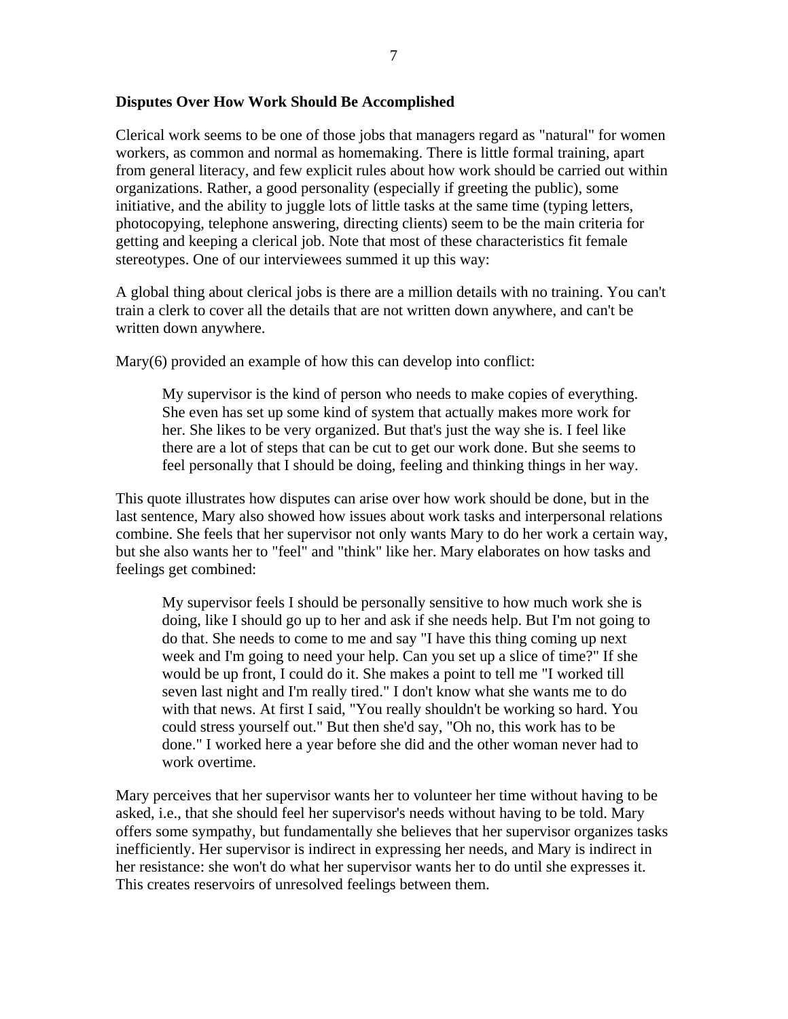#### **Disputes Over How Work Should Be Accomplished**

Clerical work seems to be one of those jobs that managers regard as "natural" for women workers, as common and normal as homemaking. There is little formal training, apart from general literacy, and few explicit rules about how work should be carried out within organizations. Rather, a good personality (especially if greeting the public), some initiative, and the ability to juggle lots of little tasks at the same time (typing letters, photocopying, telephone answering, directing clients) seem to be the main criteria for getting and keeping a clerical job. Note that most of these characteristics fit female stereotypes. One of our interviewees summed it up this way:

A global thing about clerical jobs is there are a million details with no training. You can't train a clerk to cover all the details that are not written down anywhere, and can't be written down anywhere.

Mary(6) provided an example of how this can develop into conflict:

My supervisor is the kind of person who needs to make copies of everything. She even has set up some kind of system that actually makes more work for her. She likes to be very organized. But that's just the way she is. I feel like there are a lot of steps that can be cut to get our work done. But she seems to feel personally that I should be doing, feeling and thinking things in her way.

This quote illustrates how disputes can arise over how work should be done, but in the last sentence, Mary also showed how issues about work tasks and interpersonal relations combine. She feels that her supervisor not only wants Mary to do her work a certain way, but she also wants her to "feel" and "think" like her. Mary elaborates on how tasks and feelings get combined:

My supervisor feels I should be personally sensitive to how much work she is doing, like I should go up to her and ask if she needs help. But I'm not going to do that. She needs to come to me and say "I have this thing coming up next week and I'm going to need your help. Can you set up a slice of time?" If she would be up front, I could do it. She makes a point to tell me "I worked till seven last night and I'm really tired." I don't know what she wants me to do with that news. At first I said, "You really shouldn't be working so hard. You could stress yourself out." But then she'd say, "Oh no, this work has to be done." I worked here a year before she did and the other woman never had to work overtime.

Mary perceives that her supervisor wants her to volunteer her time without having to be asked, i.e., that she should feel her supervisor's needs without having to be told. Mary offers some sympathy, but fundamentally she believes that her supervisor organizes tasks inefficiently. Her supervisor is indirect in expressing her needs, and Mary is indirect in her resistance: she won't do what her supervisor wants her to do until she expresses it. This creates reservoirs of unresolved feelings between them.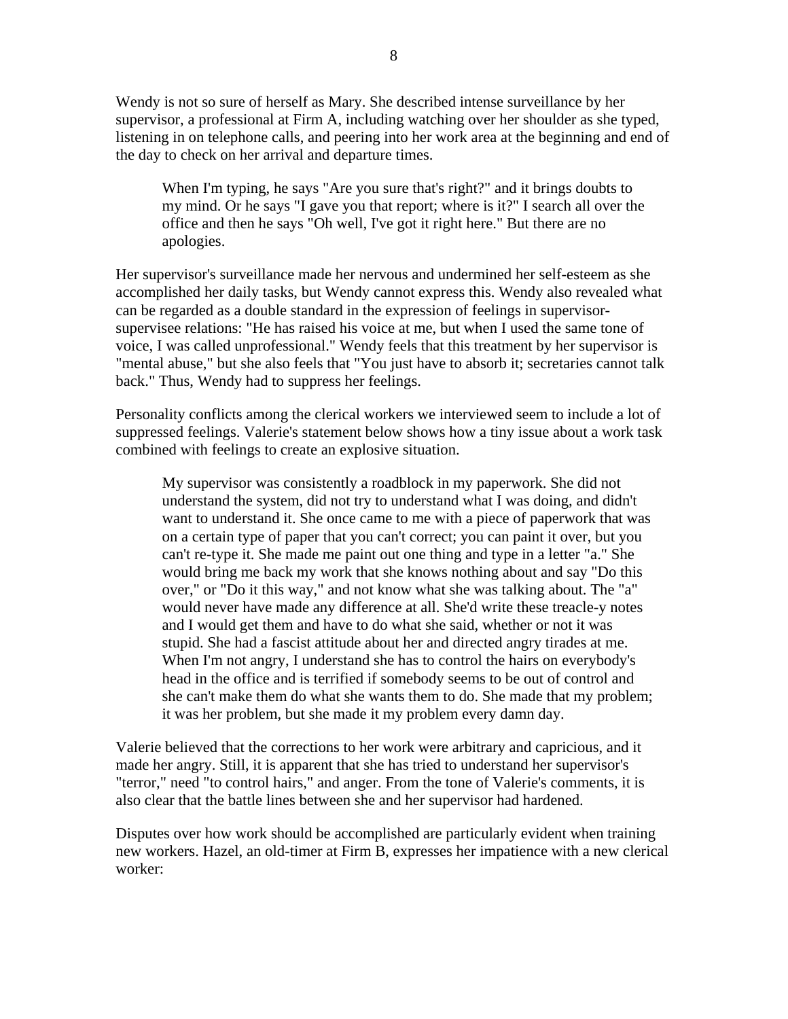Wendy is not so sure of herself as Mary. She described intense surveillance by her supervisor, a professional at Firm A, including watching over her shoulder as she typed, listening in on telephone calls, and peering into her work area at the beginning and end of the day to check on her arrival and departure times.

When I'm typing, he says "Are you sure that's right?" and it brings doubts to my mind. Or he says "I gave you that report; where is it?" I search all over the office and then he says "Oh well, I've got it right here." But there are no apologies.

Her supervisor's surveillance made her nervous and undermined her self-esteem as she accomplished her daily tasks, but Wendy cannot express this. Wendy also revealed what can be regarded as a double standard in the expression of feelings in supervisorsupervisee relations: "He has raised his voice at me, but when I used the same tone of voice, I was called unprofessional." Wendy feels that this treatment by her supervisor is "mental abuse," but she also feels that "You just have to absorb it; secretaries cannot talk back." Thus, Wendy had to suppress her feelings.

Personality conflicts among the clerical workers we interviewed seem to include a lot of suppressed feelings. Valerie's statement below shows how a tiny issue about a work task combined with feelings to create an explosive situation.

My supervisor was consistently a roadblock in my paperwork. She did not understand the system, did not try to understand what I was doing, and didn't want to understand it. She once came to me with a piece of paperwork that was on a certain type of paper that you can't correct; you can paint it over, but you can't re-type it. She made me paint out one thing and type in a letter "a." She would bring me back my work that she knows nothing about and say "Do this over," or "Do it this way," and not know what she was talking about. The "a" would never have made any difference at all. She'd write these treacle-y notes and I would get them and have to do what she said, whether or not it was stupid. She had a fascist attitude about her and directed angry tirades at me. When I'm not angry, I understand she has to control the hairs on everybody's head in the office and is terrified if somebody seems to be out of control and she can't make them do what she wants them to do. She made that my problem; it was her problem, but she made it my problem every damn day.

Valerie believed that the corrections to her work were arbitrary and capricious, and it made her angry. Still, it is apparent that she has tried to understand her supervisor's "terror," need "to control hairs," and anger. From the tone of Valerie's comments, it is also clear that the battle lines between she and her supervisor had hardened.

Disputes over how work should be accomplished are particularly evident when training new workers. Hazel, an old-timer at Firm B, expresses her impatience with a new clerical worker: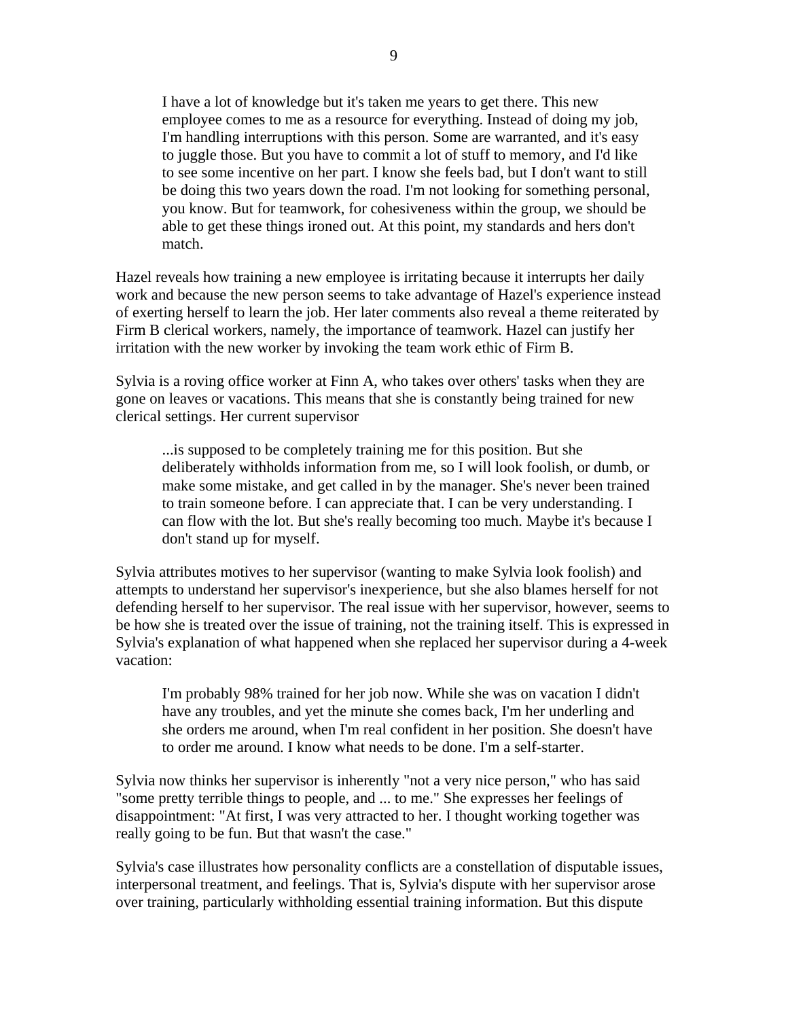I have a lot of knowledge but it's taken me years to get there. This new employee comes to me as a resource for everything. Instead of doing my job, I'm handling interruptions with this person. Some are warranted, and it's easy to juggle those. But you have to commit a lot of stuff to memory, and I'd like to see some incentive on her part. I know she feels bad, but I don't want to still be doing this two years down the road. I'm not looking for something personal, you know. But for teamwork, for cohesiveness within the group, we should be able to get these things ironed out. At this point, my standards and hers don't match.

Hazel reveals how training a new employee is irritating because it interrupts her daily work and because the new person seems to take advantage of Hazel's experience instead of exerting herself to learn the job. Her later comments also reveal a theme reiterated by Firm B clerical workers, namely, the importance of teamwork. Hazel can justify her irritation with the new worker by invoking the team work ethic of Firm B.

Sylvia is a roving office worker at Finn A, who takes over others' tasks when they are gone on leaves or vacations. This means that she is constantly being trained for new clerical settings. Her current supervisor

...is supposed to be completely training me for this position. But she deliberately withholds information from me, so I will look foolish, or dumb, or make some mistake, and get called in by the manager. She's never been trained to train someone before. I can appreciate that. I can be very understanding. I can flow with the lot. But she's really becoming too much. Maybe it's because I don't stand up for myself.

Sylvia attributes motives to her supervisor (wanting to make Sylvia look foolish) and attempts to understand her supervisor's inexperience, but she also blames herself for not defending herself to her supervisor. The real issue with her supervisor, however, seems to be how she is treated over the issue of training, not the training itself. This is expressed in Sylvia's explanation of what happened when she replaced her supervisor during a 4-week vacation:

I'm probably 98% trained for her job now. While she was on vacation I didn't have any troubles, and yet the minute she comes back, I'm her underling and she orders me around, when I'm real confident in her position. She doesn't have to order me around. I know what needs to be done. I'm a self-starter.

Sylvia now thinks her supervisor is inherently "not a very nice person," who has said "some pretty terrible things to people, and ... to me." She expresses her feelings of disappointment: "At first, I was very attracted to her. I thought working together was really going to be fun. But that wasn't the case."

Sylvia's case illustrates how personality conflicts are a constellation of disputable issues, interpersonal treatment, and feelings. That is, Sylvia's dispute with her supervisor arose over training, particularly withholding essential training information. But this dispute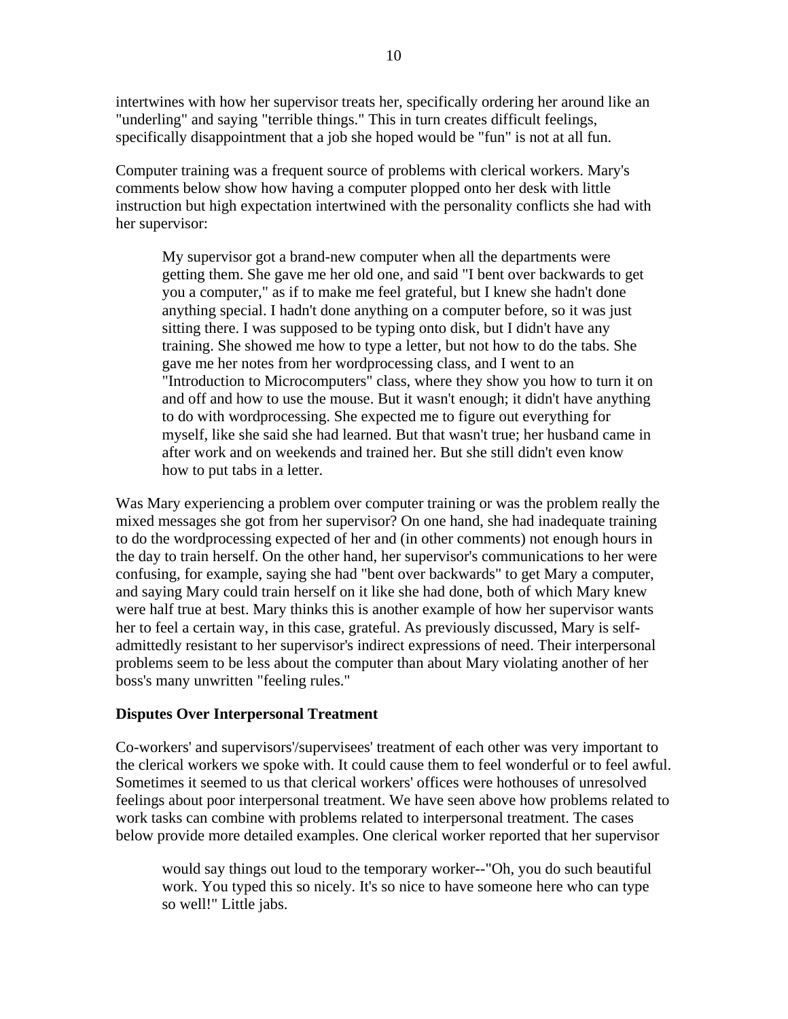intertwines with how her supervisor treats her, specifically ordering her around like an "underling" and saying "terrible things." This in turn creates difficult feelings, specifically disappointment that a job she hoped would be "fun" is not at all fun.

Computer training was a frequent source of problems with clerical workers. Mary's comments below show how having a computer plopped onto her desk with little instruction but high expectation intertwined with the personality conflicts she had with her supervisor:

My supervisor got a brand-new computer when all the departments were getting them. She gave me her old one, and said "I bent over backwards to get you a computer," as if to make me feel grateful, but I knew she hadn't done anything special. I hadn't done anything on a computer before, so it was just sitting there. I was supposed to be typing onto disk, but I didn't have any training. She showed me how to type a letter, but not how to do the tabs. She gave me her notes from her wordprocessing class, and I went to an "Introduction to Microcomputers" class, where they show you how to turn it on and off and how to use the mouse. But it wasn't enough; it didn't have anything to do with wordprocessing. She expected me to figure out everything for myself, like she said she had learned. But that wasn't true; her husband came in after work and on weekends and trained her. But she still didn't even know how to put tabs in a letter.

Was Mary experiencing a problem over computer training or was the problem really the mixed messages she got from her supervisor? On one hand, she had inadequate training to do the wordprocessing expected of her and (in other comments) not enough hours in the day to train herself. On the other hand, her supervisor's communications to her were confusing, for example, saying she had "bent over backwards" to get Mary a computer, and saying Mary could train herself on it like she had done, both of which Mary knew were half true at best. Mary thinks this is another example of how her supervisor wants her to feel a certain way, in this case, grateful. As previously discussed, Mary is selfadmittedly resistant to her supervisor's indirect expressions of need. Their interpersonal problems seem to be less about the computer than about Mary violating another of her boss's many unwritten "feeling rules."

### **Disputes Over Interpersonal Treatment**

Co-workers' and supervisors'/supervisees' treatment of each other was very important to the clerical workers we spoke with. It could cause them to feel wonderful or to feel awful. Sometimes it seemed to us that clerical workers' offices were hothouses of unresolved feelings about poor interpersonal treatment. We have seen above how problems related to work tasks can combine with problems related to interpersonal treatment. The cases below provide more detailed examples. One clerical worker reported that her supervisor

would say things out loud to the temporary worker--"Oh, you do such beautiful work. You typed this so nicely. It's so nice to have someone here who can type so well!" Little jabs.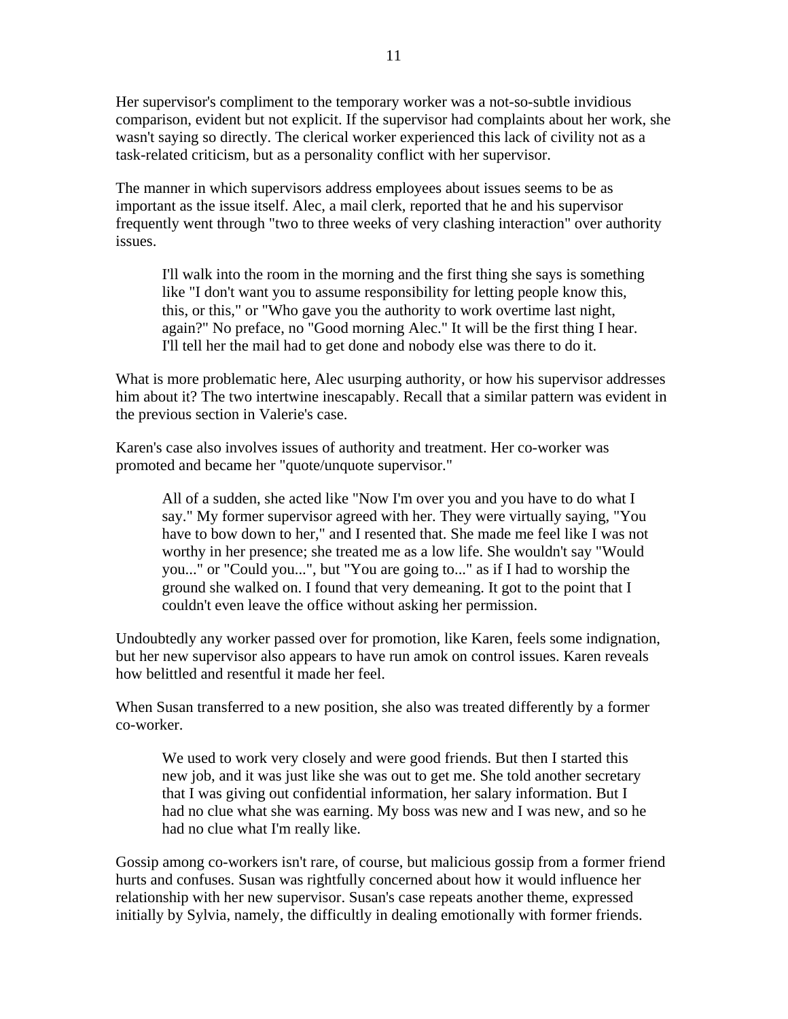Her supervisor's compliment to the temporary worker was a not-so-subtle invidious comparison, evident but not explicit. If the supervisor had complaints about her work, she wasn't saying so directly. The clerical worker experienced this lack of civility not as a task-related criticism, but as a personality conflict with her supervisor.

The manner in which supervisors address employees about issues seems to be as important as the issue itself. Alec, a mail clerk, reported that he and his supervisor frequently went through "two to three weeks of very clashing interaction" over authority issues.

I'll walk into the room in the morning and the first thing she says is something like "I don't want you to assume responsibility for letting people know this, this, or this," or "Who gave you the authority to work overtime last night, again?" No preface, no "Good morning Alec." It will be the first thing I hear. I'll tell her the mail had to get done and nobody else was there to do it.

What is more problematic here, Alec usurping authority, or how his supervisor addresses him about it? The two intertwine inescapably. Recall that a similar pattern was evident in the previous section in Valerie's case.

Karen's case also involves issues of authority and treatment. Her co-worker was promoted and became her "quote/unquote supervisor."

All of a sudden, she acted like "Now I'm over you and you have to do what I say." My former supervisor agreed with her. They were virtually saying, "You have to bow down to her," and I resented that. She made me feel like I was not worthy in her presence; she treated me as a low life. She wouldn't say "Would you..." or "Could you...", but "You are going to..." as if I had to worship the ground she walked on. I found that very demeaning. It got to the point that I couldn't even leave the office without asking her permission.

Undoubtedly any worker passed over for promotion, like Karen, feels some indignation, but her new supervisor also appears to have run amok on control issues. Karen reveals how belittled and resentful it made her feel.

When Susan transferred to a new position, she also was treated differently by a former co-worker.

We used to work very closely and were good friends. But then I started this new job, and it was just like she was out to get me. She told another secretary that I was giving out confidential information, her salary information. But I had no clue what she was earning. My boss was new and I was new, and so he had no clue what I'm really like.

Gossip among co-workers isn't rare, of course, but malicious gossip from a former friend hurts and confuses. Susan was rightfully concerned about how it would influence her relationship with her new supervisor. Susan's case repeats another theme, expressed initially by Sylvia, namely, the difficultly in dealing emotionally with former friends.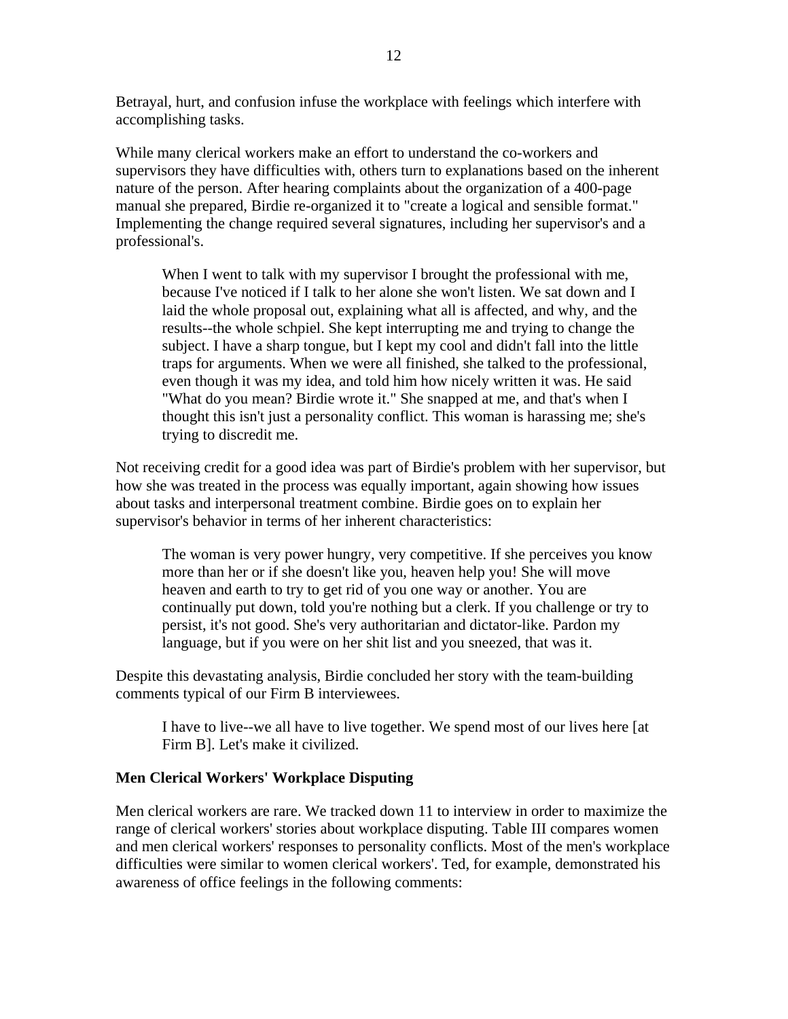Betrayal, hurt, and confusion infuse the workplace with feelings which interfere with accomplishing tasks.

While many clerical workers make an effort to understand the co-workers and supervisors they have difficulties with, others turn to explanations based on the inherent nature of the person. After hearing complaints about the organization of a 400-page manual she prepared, Birdie re-organized it to "create a logical and sensible format." Implementing the change required several signatures, including her supervisor's and a professional's.

When I went to talk with my supervisor I brought the professional with me, because I've noticed if I talk to her alone she won't listen. We sat down and I laid the whole proposal out, explaining what all is affected, and why, and the results--the whole schpiel. She kept interrupting me and trying to change the subject. I have a sharp tongue, but I kept my cool and didn't fall into the little traps for arguments. When we were all finished, she talked to the professional, even though it was my idea, and told him how nicely written it was. He said "What do you mean? Birdie wrote it." She snapped at me, and that's when I thought this isn't just a personality conflict. This woman is harassing me; she's trying to discredit me.

Not receiving credit for a good idea was part of Birdie's problem with her supervisor, but how she was treated in the process was equally important, again showing how issues about tasks and interpersonal treatment combine. Birdie goes on to explain her supervisor's behavior in terms of her inherent characteristics:

The woman is very power hungry, very competitive. If she perceives you know more than her or if she doesn't like you, heaven help you! She will move heaven and earth to try to get rid of you one way or another. You are continually put down, told you're nothing but a clerk. If you challenge or try to persist, it's not good. She's very authoritarian and dictator-like. Pardon my language, but if you were on her shit list and you sneezed, that was it.

Despite this devastating analysis, Birdie concluded her story with the team-building comments typical of our Firm B interviewees.

I have to live--we all have to live together. We spend most of our lives here [at Firm B]. Let's make it civilized.

### **Men Clerical Workers' Workplace Disputing**

Men clerical workers are rare. We tracked down 11 to interview in order to maximize the range of clerical workers' stories about workplace disputing. Table III compares women and men clerical workers' responses to personality conflicts. Most of the men's workplace difficulties were similar to women clerical workers'. Ted, for example, demonstrated his awareness of office feelings in the following comments: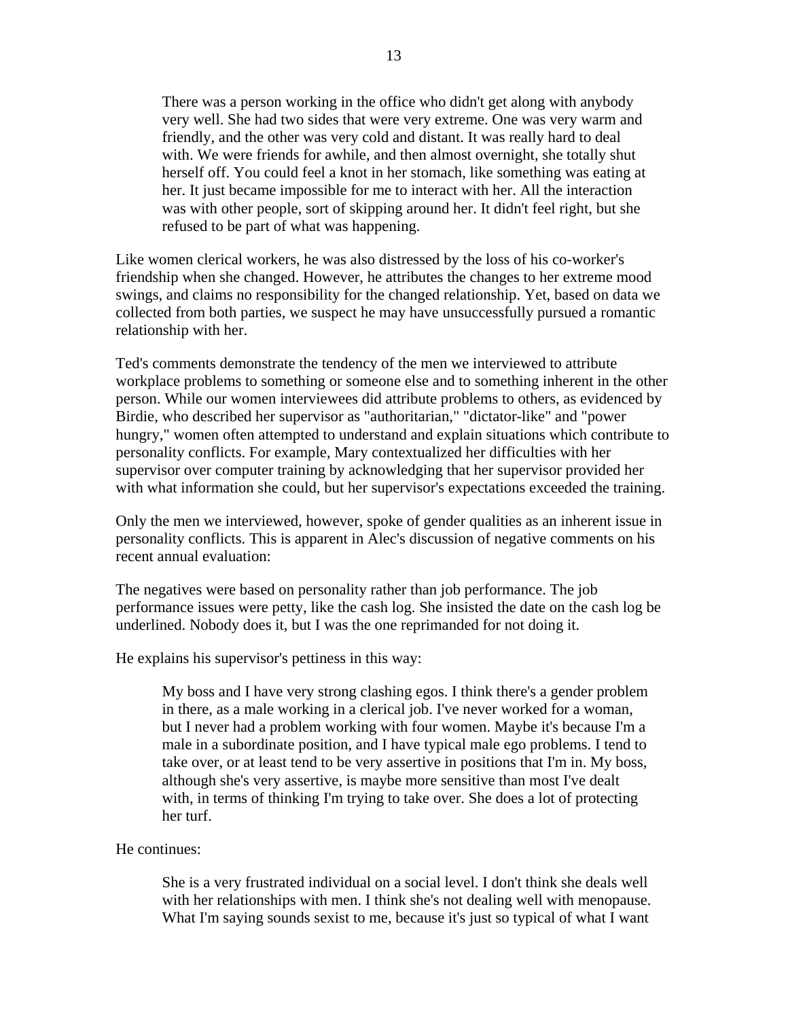There was a person working in the office who didn't get along with anybody very well. She had two sides that were very extreme. One was very warm and friendly, and the other was very cold and distant. It was really hard to deal with. We were friends for awhile, and then almost overnight, she totally shut herself off. You could feel a knot in her stomach, like something was eating at her. It just became impossible for me to interact with her. All the interaction was with other people, sort of skipping around her. It didn't feel right, but she refused to be part of what was happening.

Like women clerical workers, he was also distressed by the loss of his co-worker's friendship when she changed. However, he attributes the changes to her extreme mood swings, and claims no responsibility for the changed relationship. Yet, based on data we collected from both parties, we suspect he may have unsuccessfully pursued a romantic relationship with her.

Ted's comments demonstrate the tendency of the men we interviewed to attribute workplace problems to something or someone else and to something inherent in the other person. While our women interviewees did attribute problems to others, as evidenced by Birdie, who described her supervisor as "authoritarian," "dictator-like" and "power hungry," women often attempted to understand and explain situations which contribute to personality conflicts. For example, Mary contextualized her difficulties with her supervisor over computer training by acknowledging that her supervisor provided her with what information she could, but her supervisor's expectations exceeded the training.

Only the men we interviewed, however, spoke of gender qualities as an inherent issue in personality conflicts. This is apparent in Alec's discussion of negative comments on his recent annual evaluation:

The negatives were based on personality rather than job performance. The job performance issues were petty, like the cash log. She insisted the date on the cash log be underlined. Nobody does it, but I was the one reprimanded for not doing it.

He explains his supervisor's pettiness in this way:

My boss and I have very strong clashing egos. I think there's a gender problem in there, as a male working in a clerical job. I've never worked for a woman, but I never had a problem working with four women. Maybe it's because I'm a male in a subordinate position, and I have typical male ego problems. I tend to take over, or at least tend to be very assertive in positions that I'm in. My boss, although she's very assertive, is maybe more sensitive than most I've dealt with, in terms of thinking I'm trying to take over. She does a lot of protecting her turf.

#### He continues:

She is a very frustrated individual on a social level. I don't think she deals well with her relationships with men. I think she's not dealing well with menopause. What I'm saying sounds sexist to me, because it's just so typical of what I want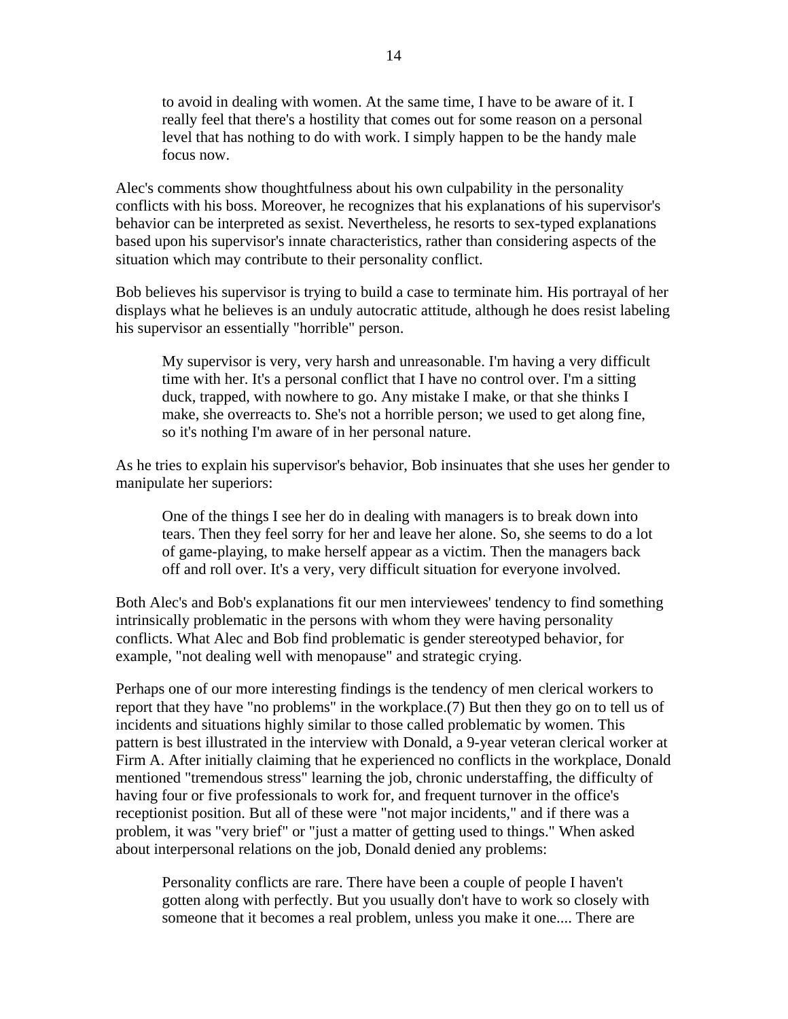to avoid in dealing with women. At the same time, I have to be aware of it. I really feel that there's a hostility that comes out for some reason on a personal level that has nothing to do with work. I simply happen to be the handy male focus now.

Alec's comments show thoughtfulness about his own culpability in the personality conflicts with his boss. Moreover, he recognizes that his explanations of his supervisor's behavior can be interpreted as sexist. Nevertheless, he resorts to sex-typed explanations based upon his supervisor's innate characteristics, rather than considering aspects of the situation which may contribute to their personality conflict.

Bob believes his supervisor is trying to build a case to terminate him. His portrayal of her displays what he believes is an unduly autocratic attitude, although he does resist labeling his supervisor an essentially "horrible" person.

My supervisor is very, very harsh and unreasonable. I'm having a very difficult time with her. It's a personal conflict that I have no control over. I'm a sitting duck, trapped, with nowhere to go. Any mistake I make, or that she thinks I make, she overreacts to. She's not a horrible person; we used to get along fine, so it's nothing I'm aware of in her personal nature.

As he tries to explain his supervisor's behavior, Bob insinuates that she uses her gender to manipulate her superiors:

One of the things I see her do in dealing with managers is to break down into tears. Then they feel sorry for her and leave her alone. So, she seems to do a lot of game-playing, to make herself appear as a victim. Then the managers back off and roll over. It's a very, very difficult situation for everyone involved.

Both Alec's and Bob's explanations fit our men interviewees' tendency to find something intrinsically problematic in the persons with whom they were having personality conflicts. What Alec and Bob find problematic is gender stereotyped behavior, for example, "not dealing well with menopause" and strategic crying.

Perhaps one of our more interesting findings is the tendency of men clerical workers to report that they have "no problems" in the workplace.(7) But then they go on to tell us of incidents and situations highly similar to those called problematic by women. This pattern is best illustrated in the interview with Donald, a 9-year veteran clerical worker at Firm A. After initially claiming that he experienced no conflicts in the workplace, Donald mentioned "tremendous stress" learning the job, chronic understaffing, the difficulty of having four or five professionals to work for, and frequent turnover in the office's receptionist position. But all of these were "not major incidents," and if there was a problem, it was "very brief" or "just a matter of getting used to things." When asked about interpersonal relations on the job, Donald denied any problems:

Personality conflicts are rare. There have been a couple of people I haven't gotten along with perfectly. But you usually don't have to work so closely with someone that it becomes a real problem, unless you make it one.... There are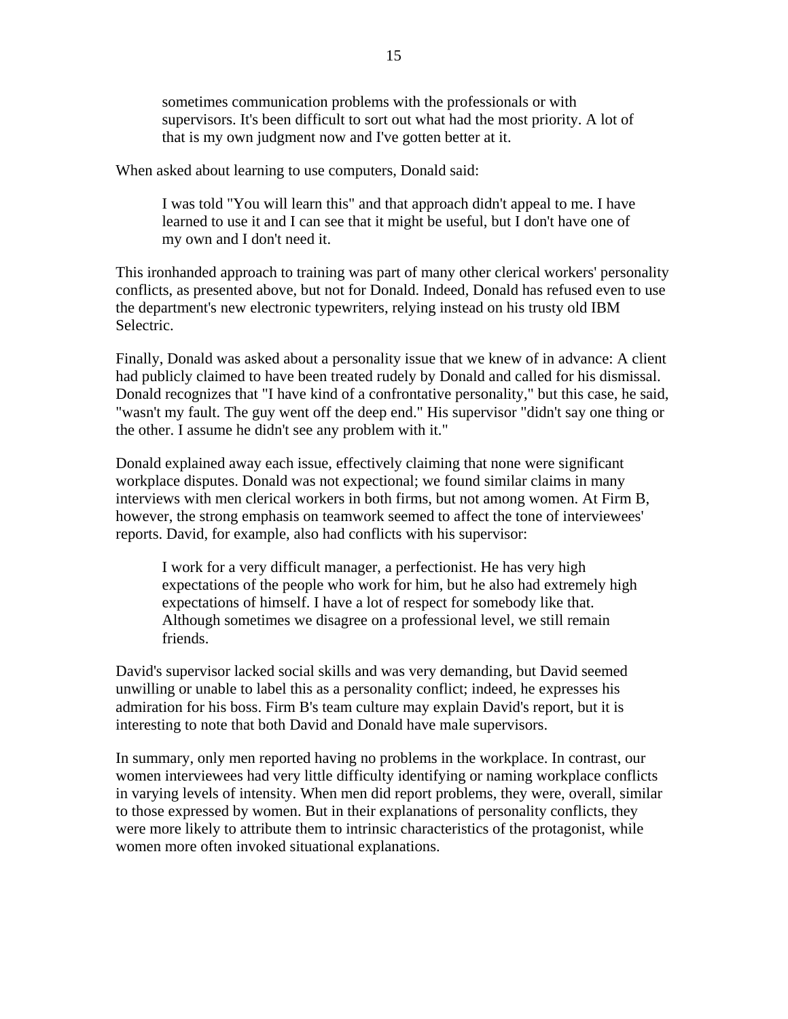sometimes communication problems with the professionals or with supervisors. It's been difficult to sort out what had the most priority. A lot of that is my own judgment now and I've gotten better at it.

When asked about learning to use computers, Donald said:

I was told "You will learn this" and that approach didn't appeal to me. I have learned to use it and I can see that it might be useful, but I don't have one of my own and I don't need it.

This ironhanded approach to training was part of many other clerical workers' personality conflicts, as presented above, but not for Donald. Indeed, Donald has refused even to use the department's new electronic typewriters, relying instead on his trusty old IBM Selectric.

Finally, Donald was asked about a personality issue that we knew of in advance: A client had publicly claimed to have been treated rudely by Donald and called for his dismissal. Donald recognizes that "I have kind of a confrontative personality," but this case, he said, "wasn't my fault. The guy went off the deep end." His supervisor "didn't say one thing or the other. I assume he didn't see any problem with it."

Donald explained away each issue, effectively claiming that none were significant workplace disputes. Donald was not expectional; we found similar claims in many interviews with men clerical workers in both firms, but not among women. At Firm B, however, the strong emphasis on teamwork seemed to affect the tone of interviewees' reports. David, for example, also had conflicts with his supervisor:

I work for a very difficult manager, a perfectionist. He has very high expectations of the people who work for him, but he also had extremely high expectations of himself. I have a lot of respect for somebody like that. Although sometimes we disagree on a professional level, we still remain friends.

David's supervisor lacked social skills and was very demanding, but David seemed unwilling or unable to label this as a personality conflict; indeed, he expresses his admiration for his boss. Firm B's team culture may explain David's report, but it is interesting to note that both David and Donald have male supervisors.

In summary, only men reported having no problems in the workplace. In contrast, our women interviewees had very little difficulty identifying or naming workplace conflicts in varying levels of intensity. When men did report problems, they were, overall, similar to those expressed by women. But in their explanations of personality conflicts, they were more likely to attribute them to intrinsic characteristics of the protagonist, while women more often invoked situational explanations.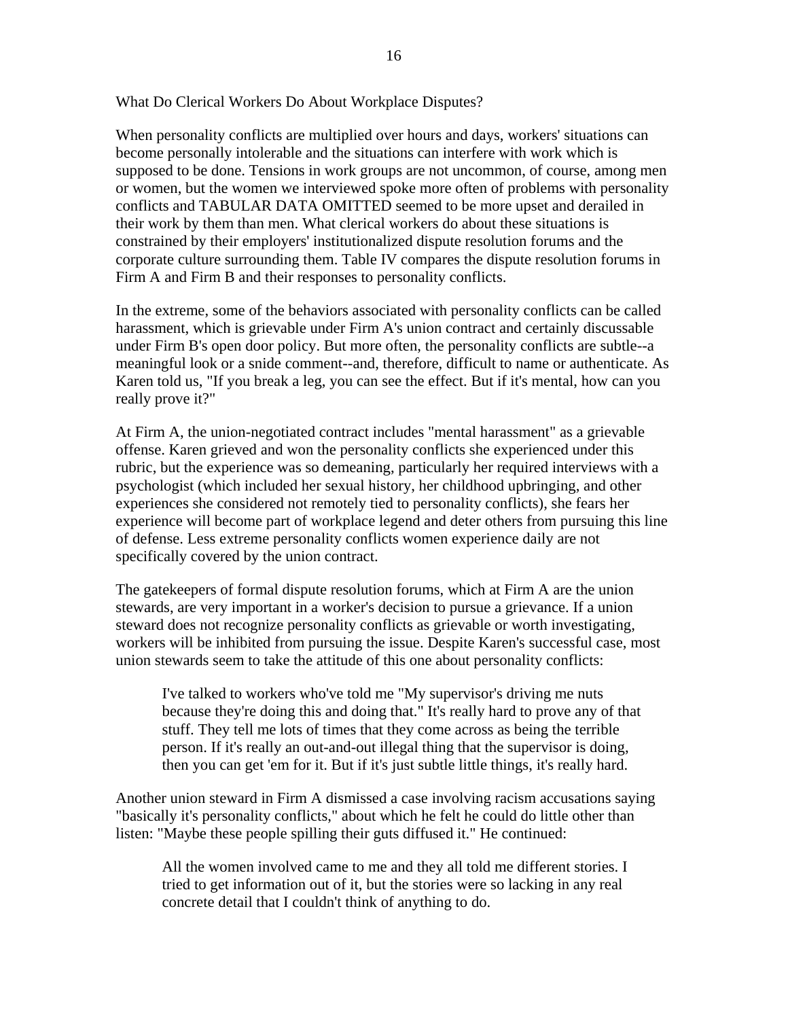What Do Clerical Workers Do About Workplace Disputes?

When personality conflicts are multiplied over hours and days, workers' situations can become personally intolerable and the situations can interfere with work which is supposed to be done. Tensions in work groups are not uncommon, of course, among men or women, but the women we interviewed spoke more often of problems with personality conflicts and TABULAR DATA OMITTED seemed to be more upset and derailed in their work by them than men. What clerical workers do about these situations is constrained by their employers' institutionalized dispute resolution forums and the corporate culture surrounding them. Table IV compares the dispute resolution forums in Firm A and Firm B and their responses to personality conflicts.

In the extreme, some of the behaviors associated with personality conflicts can be called harassment, which is grievable under Firm A's union contract and certainly discussable under Firm B's open door policy. But more often, the personality conflicts are subtle--a meaningful look or a snide comment--and, therefore, difficult to name or authenticate. As Karen told us, "If you break a leg, you can see the effect. But if it's mental, how can you really prove it?"

At Firm A, the union-negotiated contract includes "mental harassment" as a grievable offense. Karen grieved and won the personality conflicts she experienced under this rubric, but the experience was so demeaning, particularly her required interviews with a psychologist (which included her sexual history, her childhood upbringing, and other experiences she considered not remotely tied to personality conflicts), she fears her experience will become part of workplace legend and deter others from pursuing this line of defense. Less extreme personality conflicts women experience daily are not specifically covered by the union contract.

The gatekeepers of formal dispute resolution forums, which at Firm A are the union stewards, are very important in a worker's decision to pursue a grievance. If a union steward does not recognize personality conflicts as grievable or worth investigating, workers will be inhibited from pursuing the issue. Despite Karen's successful case, most union stewards seem to take the attitude of this one about personality conflicts:

I've talked to workers who've told me "My supervisor's driving me nuts because they're doing this and doing that." It's really hard to prove any of that stuff. They tell me lots of times that they come across as being the terrible person. If it's really an out-and-out illegal thing that the supervisor is doing, then you can get 'em for it. But if it's just subtle little things, it's really hard.

Another union steward in Firm A dismissed a case involving racism accusations saying "basically it's personality conflicts," about which he felt he could do little other than listen: "Maybe these people spilling their guts diffused it." He continued:

All the women involved came to me and they all told me different stories. I tried to get information out of it, but the stories were so lacking in any real concrete detail that I couldn't think of anything to do.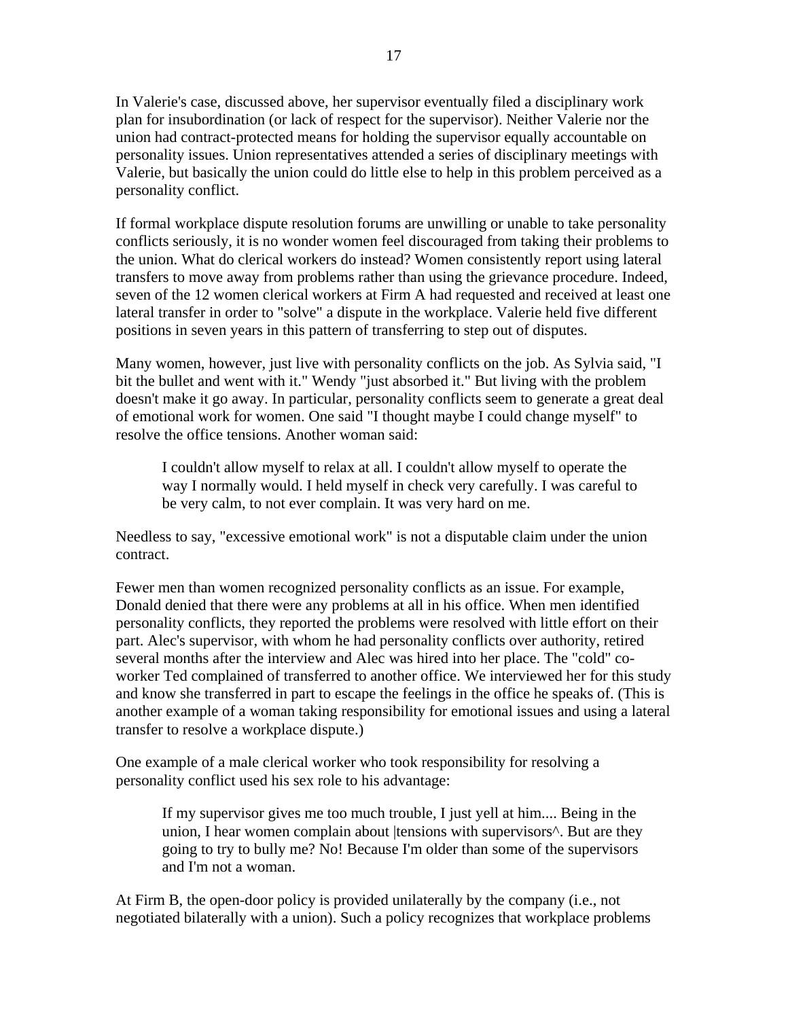In Valerie's case, discussed above, her supervisor eventually filed a disciplinary work plan for insubordination (or lack of respect for the supervisor). Neither Valerie nor the union had contract-protected means for holding the supervisor equally accountable on personality issues. Union representatives attended a series of disciplinary meetings with Valerie, but basically the union could do little else to help in this problem perceived as a personality conflict.

If formal workplace dispute resolution forums are unwilling or unable to take personality conflicts seriously, it is no wonder women feel discouraged from taking their problems to the union. What do clerical workers do instead? Women consistently report using lateral transfers to move away from problems rather than using the grievance procedure. Indeed, seven of the 12 women clerical workers at Firm A had requested and received at least one lateral transfer in order to "solve" a dispute in the workplace. Valerie held five different positions in seven years in this pattern of transferring to step out of disputes.

Many women, however, just live with personality conflicts on the job. As Sylvia said, "I bit the bullet and went with it." Wendy "just absorbed it." But living with the problem doesn't make it go away. In particular, personality conflicts seem to generate a great deal of emotional work for women. One said "I thought maybe I could change myself" to resolve the office tensions. Another woman said:

I couldn't allow myself to relax at all. I couldn't allow myself to operate the way I normally would. I held myself in check very carefully. I was careful to be very calm, to not ever complain. It was very hard on me.

Needless to say, "excessive emotional work" is not a disputable claim under the union contract.

Fewer men than women recognized personality conflicts as an issue. For example, Donald denied that there were any problems at all in his office. When men identified personality conflicts, they reported the problems were resolved with little effort on their part. Alec's supervisor, with whom he had personality conflicts over authority, retired several months after the interview and Alec was hired into her place. The "cold" coworker Ted complained of transferred to another office. We interviewed her for this study and know she transferred in part to escape the feelings in the office he speaks of. (This is another example of a woman taking responsibility for emotional issues and using a lateral transfer to resolve a workplace dispute.)

One example of a male clerical worker who took responsibility for resolving a personality conflict used his sex role to his advantage:

If my supervisor gives me too much trouble, I just yell at him.... Being in the union, I hear women complain about | tensions with supervisors<sup>^</sup>. But are they going to try to bully me? No! Because I'm older than some of the supervisors and I'm not a woman.

At Firm B, the open-door policy is provided unilaterally by the company (i.e., not negotiated bilaterally with a union). Such a policy recognizes that workplace problems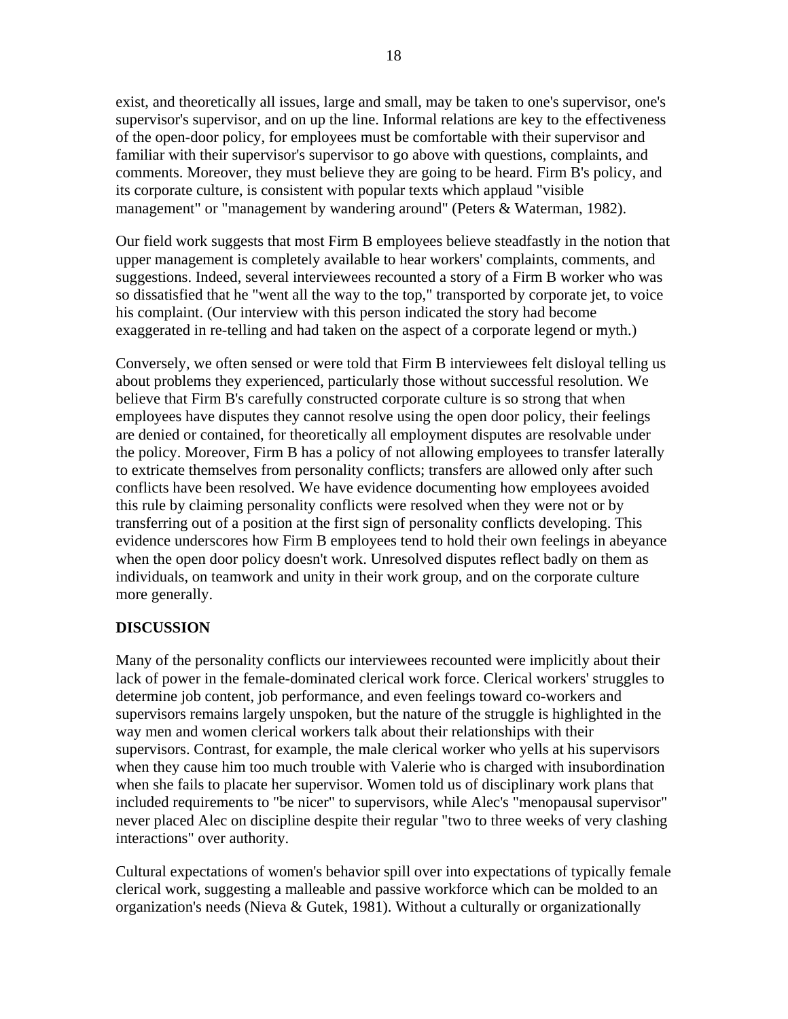exist, and theoretically all issues, large and small, may be taken to one's supervisor, one's supervisor's supervisor, and on up the line. Informal relations are key to the effectiveness of the open-door policy, for employees must be comfortable with their supervisor and familiar with their supervisor's supervisor to go above with questions, complaints, and comments. Moreover, they must believe they are going to be heard. Firm B's policy, and its corporate culture, is consistent with popular texts which applaud "visible management" or "management by wandering around" (Peters & Waterman, 1982).

Our field work suggests that most Firm B employees believe steadfastly in the notion that upper management is completely available to hear workers' complaints, comments, and suggestions. Indeed, several interviewees recounted a story of a Firm B worker who was so dissatisfied that he "went all the way to the top," transported by corporate jet, to voice his complaint. (Our interview with this person indicated the story had become exaggerated in re-telling and had taken on the aspect of a corporate legend or myth.)

Conversely, we often sensed or were told that Firm B interviewees felt disloyal telling us about problems they experienced, particularly those without successful resolution. We believe that Firm B's carefully constructed corporate culture is so strong that when employees have disputes they cannot resolve using the open door policy, their feelings are denied or contained, for theoretically all employment disputes are resolvable under the policy. Moreover, Firm B has a policy of not allowing employees to transfer laterally to extricate themselves from personality conflicts; transfers are allowed only after such conflicts have been resolved. We have evidence documenting how employees avoided this rule by claiming personality conflicts were resolved when they were not or by transferring out of a position at the first sign of personality conflicts developing. This evidence underscores how Firm B employees tend to hold their own feelings in abeyance when the open door policy doesn't work. Unresolved disputes reflect badly on them as individuals, on teamwork and unity in their work group, and on the corporate culture more generally.

### **DISCUSSION**

Many of the personality conflicts our interviewees recounted were implicitly about their lack of power in the female-dominated clerical work force. Clerical workers' struggles to determine job content, job performance, and even feelings toward co-workers and supervisors remains largely unspoken, but the nature of the struggle is highlighted in the way men and women clerical workers talk about their relationships with their supervisors. Contrast, for example, the male clerical worker who yells at his supervisors when they cause him too much trouble with Valerie who is charged with insubordination when she fails to placate her supervisor. Women told us of disciplinary work plans that included requirements to "be nicer" to supervisors, while Alec's "menopausal supervisor" never placed Alec on discipline despite their regular "two to three weeks of very clashing interactions" over authority.

Cultural expectations of women's behavior spill over into expectations of typically female clerical work, suggesting a malleable and passive workforce which can be molded to an organization's needs (Nieva & Gutek, 1981). Without a culturally or organizationally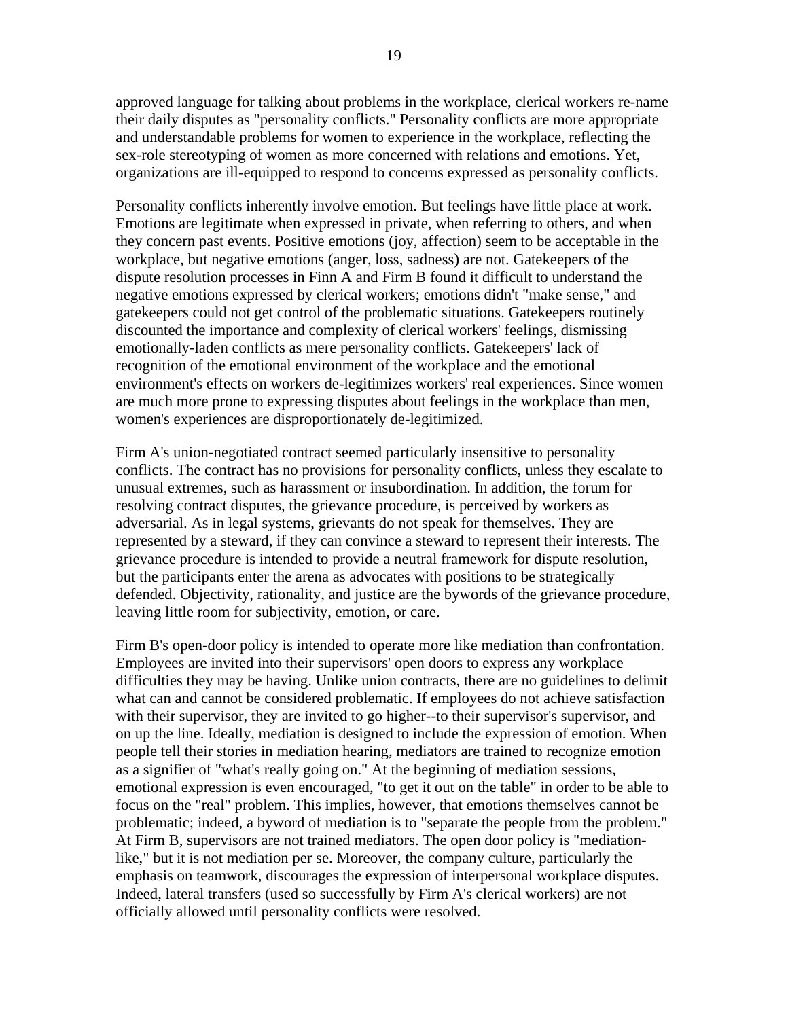approved language for talking about problems in the workplace, clerical workers re-name their daily disputes as "personality conflicts." Personality conflicts are more appropriate and understandable problems for women to experience in the workplace, reflecting the sex-role stereotyping of women as more concerned with relations and emotions. Yet, organizations are ill-equipped to respond to concerns expressed as personality conflicts.

Personality conflicts inherently involve emotion. But feelings have little place at work. Emotions are legitimate when expressed in private, when referring to others, and when they concern past events. Positive emotions (joy, affection) seem to be acceptable in the workplace, but negative emotions (anger, loss, sadness) are not. Gatekeepers of the dispute resolution processes in Finn A and Firm B found it difficult to understand the negative emotions expressed by clerical workers; emotions didn't "make sense," and gatekeepers could not get control of the problematic situations. Gatekeepers routinely discounted the importance and complexity of clerical workers' feelings, dismissing emotionally-laden conflicts as mere personality conflicts. Gatekeepers' lack of recognition of the emotional environment of the workplace and the emotional environment's effects on workers de-legitimizes workers' real experiences. Since women are much more prone to expressing disputes about feelings in the workplace than men, women's experiences are disproportionately de-legitimized.

Firm A's union-negotiated contract seemed particularly insensitive to personality conflicts. The contract has no provisions for personality conflicts, unless they escalate to unusual extremes, such as harassment or insubordination. In addition, the forum for resolving contract disputes, the grievance procedure, is perceived by workers as adversarial. As in legal systems, grievants do not speak for themselves. They are represented by a steward, if they can convince a steward to represent their interests. The grievance procedure is intended to provide a neutral framework for dispute resolution, but the participants enter the arena as advocates with positions to be strategically defended. Objectivity, rationality, and justice are the bywords of the grievance procedure, leaving little room for subjectivity, emotion, or care.

Firm B's open-door policy is intended to operate more like mediation than confrontation. Employees are invited into their supervisors' open doors to express any workplace difficulties they may be having. Unlike union contracts, there are no guidelines to delimit what can and cannot be considered problematic. If employees do not achieve satisfaction with their supervisor, they are invited to go higher--to their supervisor's supervisor, and on up the line. Ideally, mediation is designed to include the expression of emotion. When people tell their stories in mediation hearing, mediators are trained to recognize emotion as a signifier of "what's really going on." At the beginning of mediation sessions, emotional expression is even encouraged, "to get it out on the table" in order to be able to focus on the "real" problem. This implies, however, that emotions themselves cannot be problematic; indeed, a byword of mediation is to "separate the people from the problem." At Firm B, supervisors are not trained mediators. The open door policy is "mediationlike," but it is not mediation per se. Moreover, the company culture, particularly the emphasis on teamwork, discourages the expression of interpersonal workplace disputes. Indeed, lateral transfers (used so successfully by Firm A's clerical workers) are not officially allowed until personality conflicts were resolved.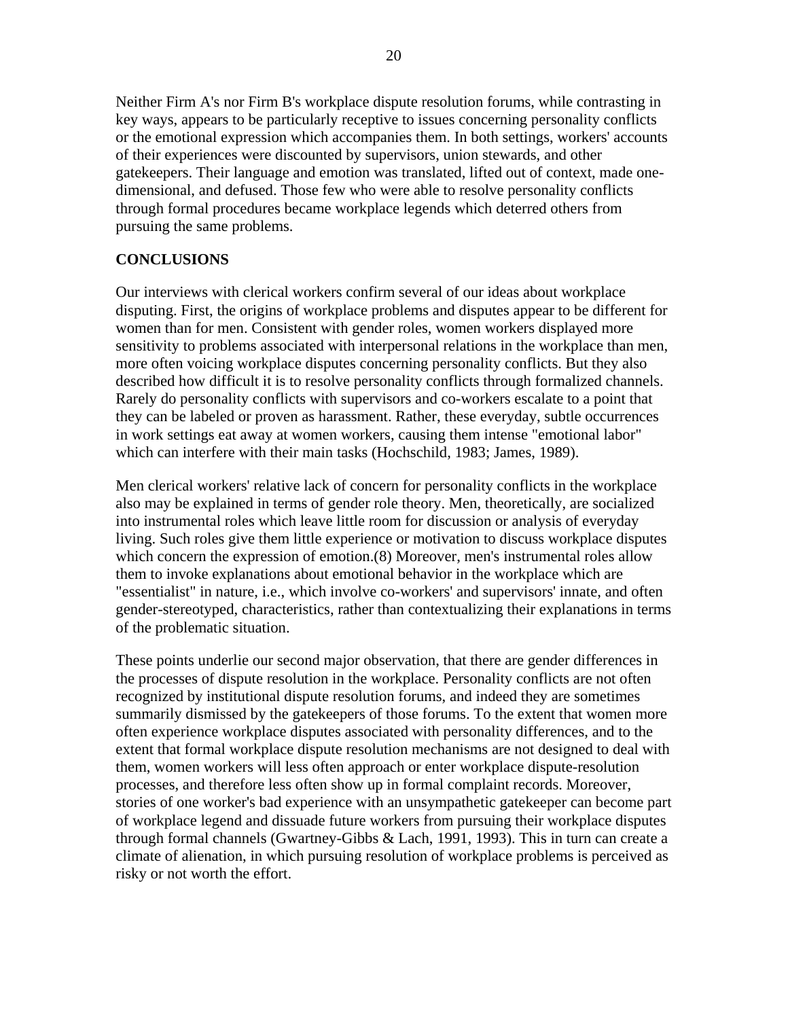Neither Firm A's nor Firm B's workplace dispute resolution forums, while contrasting in key ways, appears to be particularly receptive to issues concerning personality conflicts or the emotional expression which accompanies them. In both settings, workers' accounts of their experiences were discounted by supervisors, union stewards, and other gatekeepers. Their language and emotion was translated, lifted out of context, made onedimensional, and defused. Those few who were able to resolve personality conflicts through formal procedures became workplace legends which deterred others from pursuing the same problems.

## **CONCLUSIONS**

Our interviews with clerical workers confirm several of our ideas about workplace disputing. First, the origins of workplace problems and disputes appear to be different for women than for men. Consistent with gender roles, women workers displayed more sensitivity to problems associated with interpersonal relations in the workplace than men, more often voicing workplace disputes concerning personality conflicts. But they also described how difficult it is to resolve personality conflicts through formalized channels. Rarely do personality conflicts with supervisors and co-workers escalate to a point that they can be labeled or proven as harassment. Rather, these everyday, subtle occurrences in work settings eat away at women workers, causing them intense "emotional labor" which can interfere with their main tasks (Hochschild, 1983; James, 1989).

Men clerical workers' relative lack of concern for personality conflicts in the workplace also may be explained in terms of gender role theory. Men, theoretically, are socialized into instrumental roles which leave little room for discussion or analysis of everyday living. Such roles give them little experience or motivation to discuss workplace disputes which concern the expression of emotion.(8) Moreover, men's instrumental roles allow them to invoke explanations about emotional behavior in the workplace which are "essentialist" in nature, i.e., which involve co-workers' and supervisors' innate, and often gender-stereotyped, characteristics, rather than contextualizing their explanations in terms of the problematic situation.

These points underlie our second major observation, that there are gender differences in the processes of dispute resolution in the workplace. Personality conflicts are not often recognized by institutional dispute resolution forums, and indeed they are sometimes summarily dismissed by the gatekeepers of those forums. To the extent that women more often experience workplace disputes associated with personality differences, and to the extent that formal workplace dispute resolution mechanisms are not designed to deal with them, women workers will less often approach or enter workplace dispute-resolution processes, and therefore less often show up in formal complaint records. Moreover, stories of one worker's bad experience with an unsympathetic gatekeeper can become part of workplace legend and dissuade future workers from pursuing their workplace disputes through formal channels (Gwartney-Gibbs & Lach, 1991, 1993). This in turn can create a climate of alienation, in which pursuing resolution of workplace problems is perceived as risky or not worth the effort.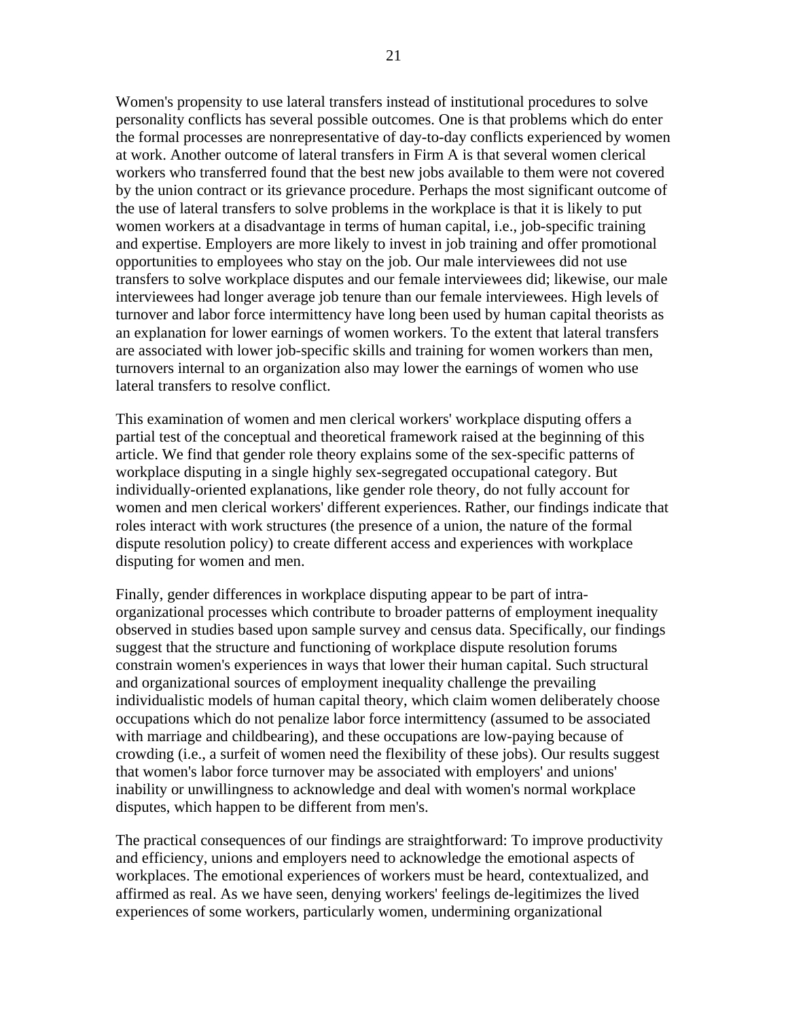Women's propensity to use lateral transfers instead of institutional procedures to solve personality conflicts has several possible outcomes. One is that problems which do enter the formal processes are nonrepresentative of day-to-day conflicts experienced by women at work. Another outcome of lateral transfers in Firm A is that several women clerical workers who transferred found that the best new jobs available to them were not covered by the union contract or its grievance procedure. Perhaps the most significant outcome of the use of lateral transfers to solve problems in the workplace is that it is likely to put women workers at a disadvantage in terms of human capital, i.e., job-specific training and expertise. Employers are more likely to invest in job training and offer promotional opportunities to employees who stay on the job. Our male interviewees did not use transfers to solve workplace disputes and our female interviewees did; likewise, our male interviewees had longer average job tenure than our female interviewees. High levels of turnover and labor force intermittency have long been used by human capital theorists as an explanation for lower earnings of women workers. To the extent that lateral transfers are associated with lower job-specific skills and training for women workers than men, turnovers internal to an organization also may lower the earnings of women who use lateral transfers to resolve conflict.

This examination of women and men clerical workers' workplace disputing offers a partial test of the conceptual and theoretical framework raised at the beginning of this article. We find that gender role theory explains some of the sex-specific patterns of workplace disputing in a single highly sex-segregated occupational category. But individually-oriented explanations, like gender role theory, do not fully account for women and men clerical workers' different experiences. Rather, our findings indicate that roles interact with work structures (the presence of a union, the nature of the formal dispute resolution policy) to create different access and experiences with workplace disputing for women and men.

Finally, gender differences in workplace disputing appear to be part of intraorganizational processes which contribute to broader patterns of employment inequality observed in studies based upon sample survey and census data. Specifically, our findings suggest that the structure and functioning of workplace dispute resolution forums constrain women's experiences in ways that lower their human capital. Such structural and organizational sources of employment inequality challenge the prevailing individualistic models of human capital theory, which claim women deliberately choose occupations which do not penalize labor force intermittency (assumed to be associated with marriage and childbearing), and these occupations are low-paying because of crowding (i.e., a surfeit of women need the flexibility of these jobs). Our results suggest that women's labor force turnover may be associated with employers' and unions' inability or unwillingness to acknowledge and deal with women's normal workplace disputes, which happen to be different from men's.

The practical consequences of our findings are straightforward: To improve productivity and efficiency, unions and employers need to acknowledge the emotional aspects of workplaces. The emotional experiences of workers must be heard, contextualized, and affirmed as real. As we have seen, denying workers' feelings de-legitimizes the lived experiences of some workers, particularly women, undermining organizational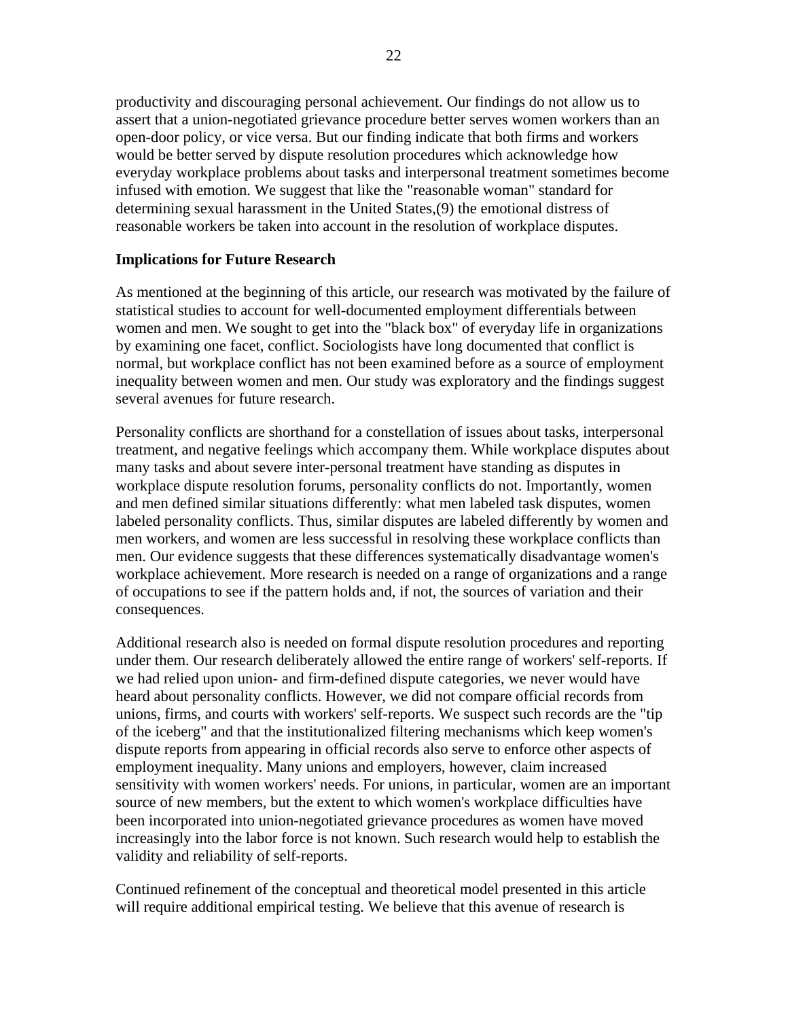productivity and discouraging personal achievement. Our findings do not allow us to assert that a union-negotiated grievance procedure better serves women workers than an open-door policy, or vice versa. But our finding indicate that both firms and workers would be better served by dispute resolution procedures which acknowledge how everyday workplace problems about tasks and interpersonal treatment sometimes become infused with emotion. We suggest that like the "reasonable woman" standard for determining sexual harassment in the United States,(9) the emotional distress of reasonable workers be taken into account in the resolution of workplace disputes.

#### **Implications for Future Research**

As mentioned at the beginning of this article, our research was motivated by the failure of statistical studies to account for well-documented employment differentials between women and men. We sought to get into the "black box" of everyday life in organizations by examining one facet, conflict. Sociologists have long documented that conflict is normal, but workplace conflict has not been examined before as a source of employment inequality between women and men. Our study was exploratory and the findings suggest several avenues for future research.

Personality conflicts are shorthand for a constellation of issues about tasks, interpersonal treatment, and negative feelings which accompany them. While workplace disputes about many tasks and about severe inter-personal treatment have standing as disputes in workplace dispute resolution forums, personality conflicts do not. Importantly, women and men defined similar situations differently: what men labeled task disputes, women labeled personality conflicts. Thus, similar disputes are labeled differently by women and men workers, and women are less successful in resolving these workplace conflicts than men. Our evidence suggests that these differences systematically disadvantage women's workplace achievement. More research is needed on a range of organizations and a range of occupations to see if the pattern holds and, if not, the sources of variation and their consequences.

Additional research also is needed on formal dispute resolution procedures and reporting under them. Our research deliberately allowed the entire range of workers' self-reports. If we had relied upon union- and firm-defined dispute categories, we never would have heard about personality conflicts. However, we did not compare official records from unions, firms, and courts with workers' self-reports. We suspect such records are the "tip of the iceberg" and that the institutionalized filtering mechanisms which keep women's dispute reports from appearing in official records also serve to enforce other aspects of employment inequality. Many unions and employers, however, claim increased sensitivity with women workers' needs. For unions, in particular, women are an important source of new members, but the extent to which women's workplace difficulties have been incorporated into union-negotiated grievance procedures as women have moved increasingly into the labor force is not known. Such research would help to establish the validity and reliability of self-reports.

Continued refinement of the conceptual and theoretical model presented in this article will require additional empirical testing. We believe that this avenue of research is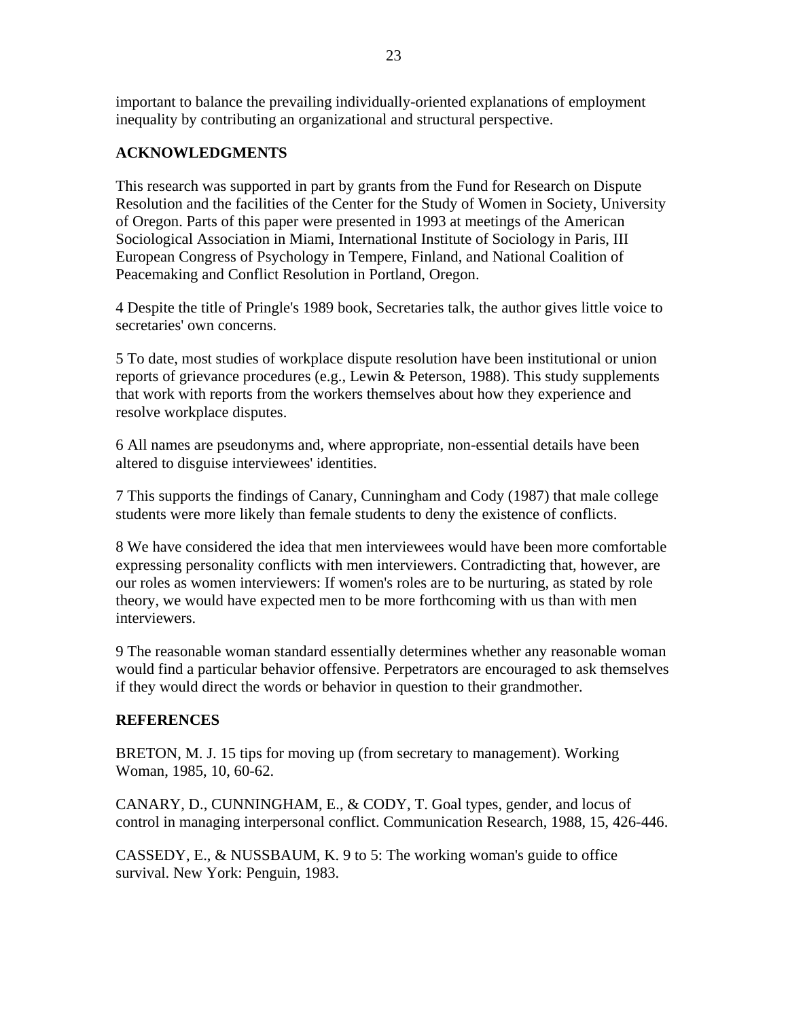important to balance the prevailing individually-oriented explanations of employment inequality by contributing an organizational and structural perspective.

# **ACKNOWLEDGMENTS**

This research was supported in part by grants from the Fund for Research on Dispute Resolution and the facilities of the Center for the Study of Women in Society, University of Oregon. Parts of this paper were presented in 1993 at meetings of the American Sociological Association in Miami, International Institute of Sociology in Paris, III European Congress of Psychology in Tempere, Finland, and National Coalition of Peacemaking and Conflict Resolution in Portland, Oregon.

4 Despite the title of Pringle's 1989 book, Secretaries talk, the author gives little voice to secretaries' own concerns.

5 To date, most studies of workplace dispute resolution have been institutional or union reports of grievance procedures (e.g., Lewin & Peterson, 1988). This study supplements that work with reports from the workers themselves about how they experience and resolve workplace disputes.

6 All names are pseudonyms and, where appropriate, non-essential details have been altered to disguise interviewees' identities.

7 This supports the findings of Canary, Cunningham and Cody (1987) that male college students were more likely than female students to deny the existence of conflicts.

8 We have considered the idea that men interviewees would have been more comfortable expressing personality conflicts with men interviewers. Contradicting that, however, are our roles as women interviewers: If women's roles are to be nurturing, as stated by role theory, we would have expected men to be more forthcoming with us than with men interviewers.

9 The reasonable woman standard essentially determines whether any reasonable woman would find a particular behavior offensive. Perpetrators are encouraged to ask themselves if they would direct the words or behavior in question to their grandmother.

## **REFERENCES**

BRETON, M. J. 15 tips for moving up (from secretary to management). Working Woman, 1985, 10, 60-62.

CANARY, D., CUNNINGHAM, E., & CODY, T. Goal types, gender, and locus of control in managing interpersonal conflict. Communication Research, 1988, 15, 426-446.

CASSEDY, E., & NUSSBAUM, K. 9 to 5: The working woman's guide to office survival. New York: Penguin, 1983.